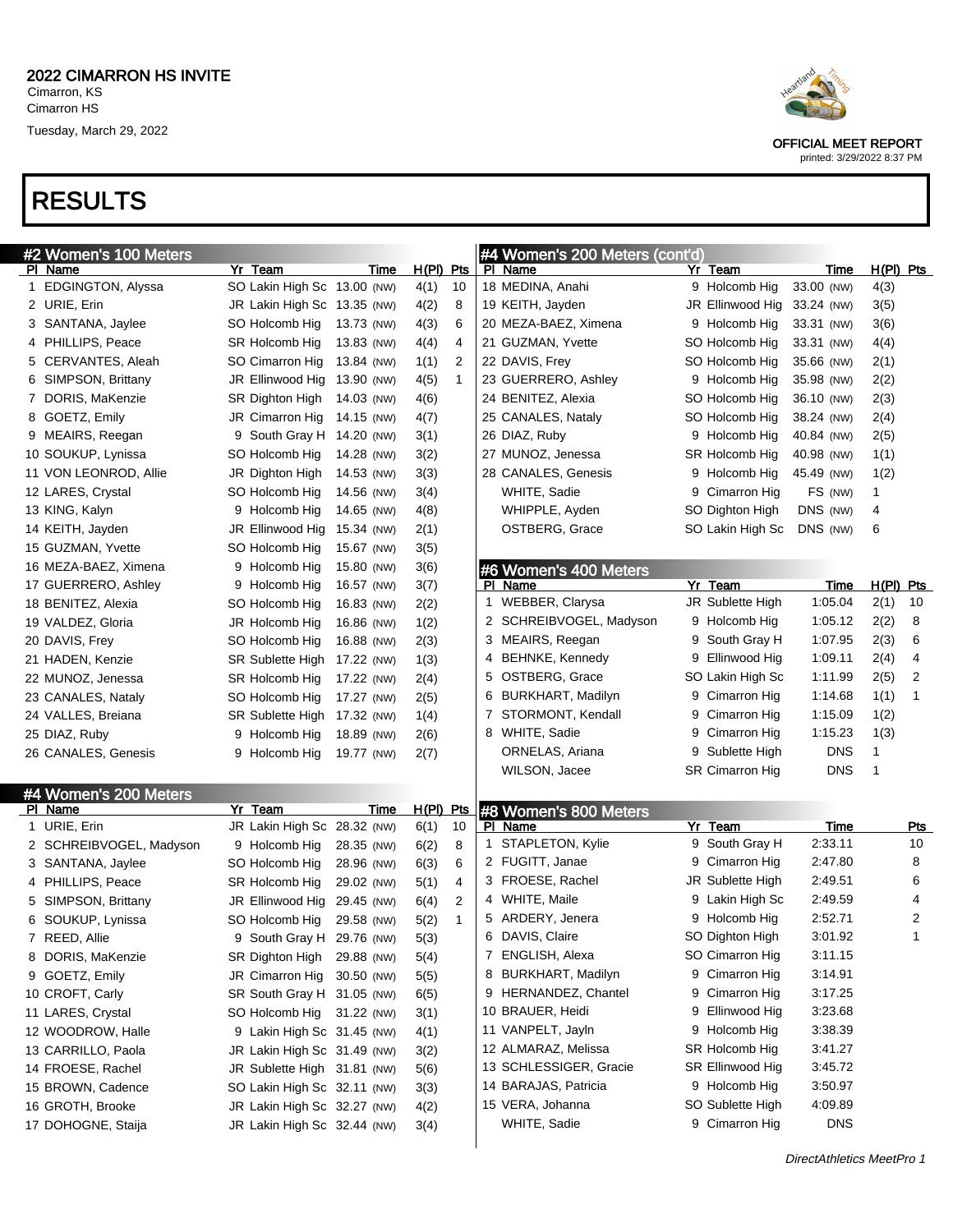## RESULTS

| #2 Women's 100 Meters   |                             |            |              |              | #4 Women's 200 Meters (cont'd) |   |                        |             |             |            |
|-------------------------|-----------------------------|------------|--------------|--------------|--------------------------------|---|------------------------|-------------|-------------|------------|
| PI Name                 | Yr Team                     | Time       | $H(PI)$ Pts  |              | PI Name                        |   | Yr Team                | Time        | $H(PI)$ Pts |            |
| 1 EDGINGTON, Alyssa     | SO Lakin High Sc 13.00 (NW) |            | 4(1)         | 10           | 18 MEDINA, Anahi               |   | 9 Holcomb Hig          | 33.00 (NW)  | 4(3)        |            |
| 2 URIE, Erin            | JR Lakin High Sc 13.35 (NW) |            | 4(2)         | 8            | 19 KEITH, Jayden               |   | JR Ellinwood Hig       | 33.24 (NW)  | 3(5)        |            |
| 3 SANTANA, Jaylee       | SO Holcomb Hig              | 13.73 (NW) | 4(3)         | 6            | 20 MEZA-BAEZ, Ximena           |   | 9 Holcomb Hig          | 33.31 (NW)  | 3(6)        |            |
| 4 PHILLIPS, Peace       | SR Holcomb Hig              | 13.83 (NW) | 4(4)         | 4            | 21 GUZMAN, Yvette              |   | SO Holcomb Hig         | 33.31 (NW)  | 4(4)        |            |
| 5 CERVANTES, Aleah      | SO Cimarron Hig             | 13.84 (NW) | 1(1)         | 2            | 22 DAVIS, Frey                 |   | SO Holcomb Hig         | 35.66 (NW)  | 2(1)        |            |
| 6 SIMPSON, Brittany     | JR Ellinwood Hig            | 13.90 (NW) | 4(5)         | $\mathbf{1}$ | 23 GUERRERO, Ashley            |   | 9 Holcomb Hig          | 35.98 (NW)  | 2(2)        |            |
| 7 DORIS, MaKenzie       | SR Dighton High             | 14.03 (NW) | 4(6)         |              | 24 BENITEZ, Alexia             |   | SO Holcomb Hig         | 36.10 (NW)  | 2(3)        |            |
| 8 GOETZ, Emily          | JR Cimarron Hig             | 14.15 (NW) | 4(7)         |              | 25 CANALES, Nataly             |   | SO Holcomb Hig         | 38.24 (NW)  | 2(4)        |            |
| 9 MEAIRS, Reegan        | 9 South Gray H 14.20 (NW)   |            | 3(1)         |              | 26 DIAZ, Ruby                  |   | 9 Holcomb Hig          | 40.84 (NW)  | 2(5)        |            |
| 10 SOUKUP, Lynissa      | SO Holcomb Hig              | 14.28 (NW) | 3(2)         |              | 27 MUNOZ, Jenessa              |   | SR Holcomb Hig         | 40.98 (NW)  | 1(1)        |            |
| 11 VON LEONROD, Allie   | JR Dighton High             | 14.53 (NW) | 3(3)         |              | 28 CANALES, Genesis            |   | 9 Holcomb Hig          | 45.49 (NW)  | 1(2)        |            |
| 12 LARES, Crystal       | SO Holcomb Hig              | 14.56 (NW) | 3(4)         |              | WHITE, Sadie                   |   | 9 Cimarron Hig         | FS (NW)     | 1           |            |
| 13 KING, Kalyn          | 9 Holcomb Hig               | 14.65 (NW) | 4(8)         |              | WHIPPLE, Ayden                 |   | SO Dighton High        | DNS (NW)    | 4           |            |
| 14 KEITH, Jayden        | JR Ellinwood Hig            | 15.34 (NW) | 2(1)         |              | OSTBERG, Grace                 |   | SO Lakin High Sc       | DNS (NW)    | 6           |            |
| 15 GUZMAN, Yvette       | SO Holcomb Hig              | 15.67 (NW) | 3(5)         |              |                                |   |                        |             |             |            |
| 16 MEZA-BAEZ, Ximena    | 9 Holcomb Hig               | 15.80 (NW) | 3(6)         |              | #6 Women's 400 Meters          |   |                        |             |             |            |
| 17 GUERRERO, Ashley     | 9 Holcomb Hig               | 16.57 (NW) | 3(7)         |              | PI Name                        |   | Yr Team                | <u>Time</u> | H(PI) Pts   |            |
| 18 BENITEZ, Alexia      | SO Holcomb Hig              | 16.83 (NW) | 2(2)         |              | 1 WEBBER, Clarysa              |   | JR Sublette High       | 1:05.04     | 2(1)        | 10         |
| 19 VALDEZ, Gloria       | JR Holcomb Hig              | 16.86 (NW) | 1(2)         |              | 2 SCHREIBVOGEL, Madyson        |   | 9 Holcomb Hig          | 1:05.12     | 2(2)        | 8          |
| 20 DAVIS, Frey          | SO Holcomb Hig              | 16.88 (NW) | 2(3)         |              | 3 MEAIRS, Reegan               | 9 | South Gray H           | 1:07.95     | 2(3)        | 6          |
| 21 HADEN, Kenzie        | SR Sublette High            | 17.22 (NW) | 1(3)         |              | 4 BEHNKE, Kennedy              | 9 | Ellinwood Hig          | 1:09.11     | 2(4)        | 4          |
| 22 MUNOZ, Jenessa       | SR Holcomb Hig              | 17.22 (NW) | 2(4)         |              | 5 OSTBERG, Grace               |   | SO Lakin High Sc       | 1:11.99     | 2(5)        | 2          |
| 23 CANALES, Nataly      | SO Holcomb Hig              | 17.27 (NW) | 2(5)         |              | 6 BURKHART, Madilyn            | 9 | Cimarron Hig           | 1:14.68     | 1(1)        | 1          |
| 24 VALLES, Breiana      | SR Sublette High            | 17.32 (NW) | 1(4)         |              | 7 STORMONT, Kendall            | 9 | Cimarron Hig           | 1:15.09     | 1(2)        |            |
| 25 DIAZ, Ruby           | 9 Holcomb Hig               | 18.89 (NW) | 2(6)         |              | 8 WHITE, Sadie                 | 9 | Cimarron Hig           | 1:15.23     | 1(3)        |            |
| 26 CANALES, Genesis     | 9 Holcomb Hig               | 19.77 (NW) | 2(7)         |              | ORNELAS, Ariana                | 9 | Sublette High          | <b>DNS</b>  | 1           |            |
|                         |                             |            |              |              | WILSON, Jacee                  |   | <b>SR Cimarron Hig</b> | <b>DNS</b>  | 1           |            |
| #4 Women's 200 Meters   |                             |            |              |              |                                |   |                        |             |             |            |
| PI Name                 | Yr Team                     | Time       | <u>H(PI)</u> | <u>Pts</u>   | #8 Women's 800 Meters          |   |                        |             |             |            |
| 1 URIE, Erin            | JR Lakin High Sc 28.32 (NW) |            | 6(1)         | 10           | PI Name                        |   | Yr Team                | Time        |             | <u>Pts</u> |
| 2 SCHREIBVOGEL, Madyson | 9 Holcomb Hig               | 28.35 (NW) | 6(2)         | 8            | 1 STAPLETON, Kylie             | 9 | South Gray H           | 2:33.11     |             | 10         |
| 3 SANTANA, Jaylee       | SO Holcomb Hig              | 28.96 (NW) | 6(3)         | 6            | 2 FUGITT, Janae                | 9 | Cimarron Hig           | 2:47.80     |             | 8          |
| 4 PHILLIPS, Peace       | SR Holcomb Hig              | 29.02 (NW) | 5(1)         | 4            | 3 FROESE, Rachel               |   | JR Sublette High       | 2:49.51     |             | 6          |
| 5 SIMPSON, Brittany     | JR Ellinwood Hig            | 29.45 (NW) | 6(4)         | 2            | 4 WHITE, Maile                 |   | 9 Lakin High Sc        | 2:49.59     |             | 4          |
| 6 SOUKUP, Lynissa       | SO Holcomb Hig              | 29.58 (NW) | 5(2)         | 1            | 5 ARDERY, Jenera               |   | 9 Holcomb Hig          | 2:52.71     |             | 2          |
| 7 REED, Allie           | 9 South Gray H 29.76 (NW)   |            | 5(3)         |              | 6 DAVIS, Claire                |   | SO Dighton High        | 3:01.92     |             | 1          |
| 8 DORIS, MaKenzie       | SR Dighton High 29.88 (NW)  |            | 5(4)         |              | 7 ENGLISH, Alexa               |   | SO Cimarron Hig        | 3:11.15     |             |            |
| 9 GOETZ, Emily          | JR Cimarron Hig 30.50 (NW)  |            | 5(5)         |              | 8 BURKHART, Madilyn            |   | 9 Cimarron Hig         | 3:14.91     |             |            |
| 10 CROFT, Carly         | SR South Gray H 31.05 (NW)  |            | 6(5)         |              | 9 HERNANDEZ, Chantel           |   | 9 Cimarron Hig         | 3:17.25     |             |            |
| 11 LARES, Crystal       | SO Holcomb Hig 31.22 (NW)   |            | 3(1)         |              | 10 BRAUER, Heidi               |   | 9 Ellinwood Hig        | 3:23.68     |             |            |
| 12 WOODROW, Halle       | 9 Lakin High Sc 31.45 (NW)  |            | 4(1)         |              | 11 VANPELT, Jayln              |   | 9 Holcomb Hig          | 3:38.39     |             |            |
| 13 CARRILLO, Paola      | JR Lakin High Sc 31.49 (NW) |            | 3(2)         |              | 12 ALMARAZ, Melissa            |   | SR Holcomb Hig         | 3:41.27     |             |            |
| 14 FROESE, Rachel       | JR Sublette High 31.81 (NW) |            | 5(6)         |              | 13 SCHLESSIGER, Gracie         |   | SR Ellinwood Hig       | 3:45.72     |             |            |
| 15 BROWN, Cadence       | SO Lakin High Sc 32.11 (NW) |            | 3(3)         |              | 14 BARAJAS, Patricia           |   | 9 Holcomb Hig          | 3:50.97     |             |            |
| 16 GROTH, Brooke        | JR Lakin High Sc 32.27 (NW) |            | 4(2)         |              | 15 VERA, Johanna               |   | SO Sublette High       | 4:09.89     |             |            |
| 17 DOHOGNE, Staija      | JR Lakin High Sc 32.44 (NW) |            | 3(4)         |              | WHITE, Sadie                   |   | 9 Cimarron Hig         | <b>DNS</b>  |             |            |
|                         |                             |            |              |              |                                |   |                        |             |             |            |



OFFICIAL MEET REPORT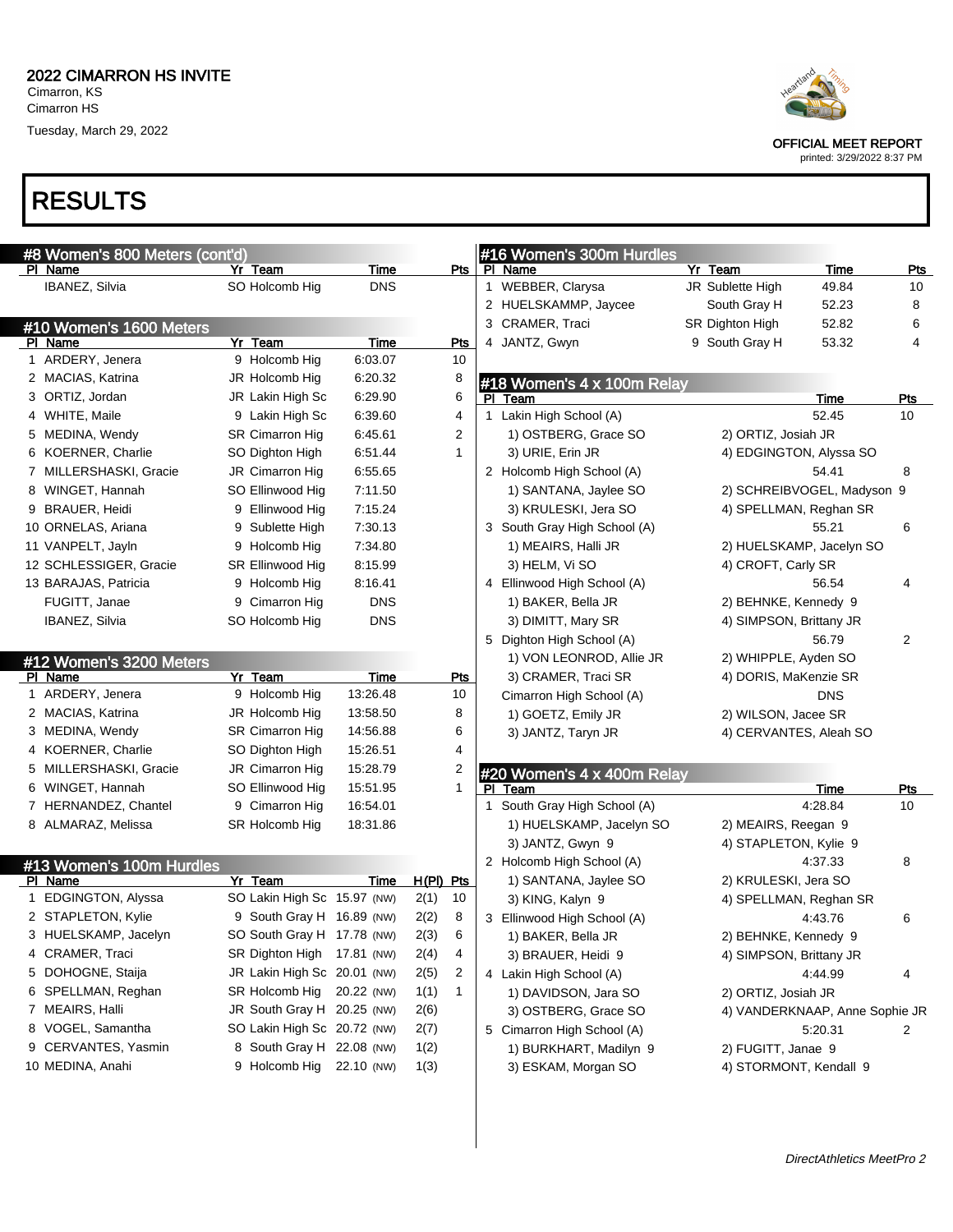# RESULTS

| #8 Women's 800 Meters (cont'd)     |                             |            |           |              | #16 Women's 300m Hurdles     |                         |                                |            |
|------------------------------------|-----------------------------|------------|-----------|--------------|------------------------------|-------------------------|--------------------------------|------------|
| PI Name                            | Yr Team                     | Time       |           | Pts          | PI Name                      | Yr Team                 | <b>Time</b>                    | <b>Pts</b> |
| IBANEZ, Silvia                     | SO Holcomb Hig              | <b>DNS</b> |           |              | 1 WEBBER, Clarysa            | JR Sublette High        | 49.84                          | 10         |
|                                    |                             |            |           |              | 2 HUELSKAMMP, Jaycee         | South Gray H            | 52.23                          | 8          |
| #10 Women's 1600 Meters            |                             |            |           |              | 3 CRAMER, Traci              | SR Dighton High         | 52.82                          | 6          |
| PI Name                            | Yr Team                     | Time       |           | <b>Pts</b>   | 4 JANTZ, Gwyn                | 9 South Gray H          | 53.32                          | 4          |
| 1 ARDERY, Jenera                   | 9 Holcomb Hig               | 6:03.07    |           | 10           |                              |                         |                                |            |
| 2 MACIAS, Katrina                  | JR Holcomb Hig              | 6:20.32    |           | 8            | #18 Women's 4 x 100m Relay   |                         |                                |            |
| 3 ORTIZ, Jordan                    | JR Lakin High Sc            | 6:29.90    |           | 6            | PI Team                      |                         | <b>Time</b>                    | Pts        |
| 4 WHITE, Maile                     | 9 Lakin High Sc             | 6:39.60    |           | 4            | 1 Lakin High School (A)      |                         | 52.45                          | 10         |
| 5 MEDINA, Wendy                    | SR Cimarron Hig             | 6:45.61    |           | 2            | 1) OSTBERG, Grace SO         | 2) ORTIZ, Josiah JR     |                                |            |
| 6 KOERNER, Charlie                 | SO Dighton High             | 6:51.44    |           | $\mathbf{1}$ | 3) URIE, Erin JR             | 4) EDGINGTON, Alyssa SO |                                |            |
| 7 MILLERSHASKI, Gracie             | JR Cimarron Hig             | 6:55.65    |           |              | 2 Holcomb High School (A)    |                         | 54.41                          | 8          |
| 8 WINGET, Hannah                   | SO Ellinwood Hig            | 7:11.50    |           |              | 1) SANTANA, Jaylee SO        |                         | 2) SCHREIBVOGEL, Madyson 9     |            |
| 9 BRAUER, Heidi                    | 9 Ellinwood Hig             | 7:15.24    |           |              | 3) KRULESKI, Jera SO         | 4) SPELLMAN, Reghan SR  |                                |            |
| 10 ORNELAS, Ariana                 | 9 Sublette High             | 7:30.13    |           |              | 3 South Gray High School (A) |                         | 55.21                          | 6          |
| 11 VANPELT, Jayln                  | 9 Holcomb Hig               | 7:34.80    |           |              | 1) MEAIRS, Halli JR          |                         | 2) HUELSKAMP, Jacelyn SO       |            |
| 12 SCHLESSIGER, Gracie             | SR Ellinwood Hig            | 8:15.99    |           |              | 3) HELM, Vi SO               | 4) CROFT, Carly SR      |                                |            |
| 13 BARAJAS, Patricia               | 9 Holcomb Hig               | 8:16.41    |           |              | 4 Ellinwood High School (A)  |                         | 56.54                          | 4          |
| FUGITT, Janae                      | 9 Cimarron Hig              | <b>DNS</b> |           |              | 1) BAKER, Bella JR           | 2) BEHNKE, Kennedy 9    |                                |            |
| IBANEZ, Silvia                     | SO Holcomb Hig              | <b>DNS</b> |           |              | 3) DIMITT, Mary SR           | 4) SIMPSON, Brittany JR |                                |            |
|                                    |                             |            |           |              | 5 Dighton High School (A)    |                         | 56.79                          | 2          |
|                                    |                             |            |           |              | 1) VON LEONROD, Allie JR     | 2) WHIPPLE, Ayden SO    |                                |            |
| #12 Women's 3200 Meters<br>PI Name | Yr Team                     | Time       |           | <u>Pts</u>   | 3) CRAMER, Traci SR          | 4) DORIS, MaKenzie SR   |                                |            |
| 1 ARDERY, Jenera                   | 9 Holcomb Hig               | 13:26.48   |           | 10           | Cimarron High School (A)     |                         | <b>DNS</b>                     |            |
| 2 MACIAS, Katrina                  | JR Holcomb Hig              | 13:58.50   |           | 8            | 1) GOETZ, Emily JR           | 2) WILSON, Jacee SR     |                                |            |
| 3 MEDINA, Wendy                    | SR Cimarron Hig             | 14:56.88   |           | 6            | 3) JANTZ, Taryn JR           |                         |                                |            |
| 4 KOERNER, Charlie                 | SO Dighton High             | 15:26.51   |           | 4            |                              | 4) CERVANTES, Aleah SO  |                                |            |
| 5 MILLERSHASKI, Gracie             | JR Cimarron Hig             | 15:28.79   |           | 2            |                              |                         |                                |            |
| 6 WINGET, Hannah                   |                             |            |           | $\mathbf{1}$ | #20 Women's 4 x 400m Relay   |                         |                                |            |
|                                    | SO Ellinwood Hig            | 15:51.95   |           |              | PI Team                      |                         | Time<br>4:28.84                | Pts        |
| 7 HERNANDEZ, Chantel               | 9 Cimarron Hig              | 16:54.01   |           |              | 1 South Gray High School (A) |                         |                                | 10         |
| 8 ALMARAZ, Melissa                 | SR Holcomb Hig              | 18:31.86   |           |              | 1) HUELSKAMP, Jacelyn SO     | 2) MEAIRS, Reegan 9     |                                |            |
|                                    |                             |            |           |              | 3) JANTZ, Gwyn 9             | 4) STAPLETON, Kylie 9   |                                |            |
| #13 Women's 100m Hurdles           |                             |            |           |              | 2 Holcomb High School (A)    |                         | 4:37.33                        | 8          |
| PI Name                            | Yr Team                     | Time       | H(PI) Pts |              | 1) SANTANA, Jaylee SO        | 2) KRULESKI, Jera SO    |                                |            |
| 1 EDGINGTON, Alyssa                | SO Lakin High Sc 15.97 (NW) |            | 2(1)      | 10           | 3) KING, Kalyn 9             | 4) SPELLMAN, Reghan SR  |                                |            |
| 2 STAPLETON, Kylie                 | 9 South Gray H 16.89 (NW)   |            | 2(2)      | 8            | 3 Ellinwood High School (A)  |                         | 4:43.76                        | 6          |
| 3 HUELSKAMP, Jacelyn               | SO South Gray H 17.78 (NW)  |            | 2(3)      | 6            | 1) BAKER, Bella JR           | 2) BEHNKE, Kennedy 9    |                                |            |
| 4 CRAMER, Traci                    | SR Dighton High 17.81 (NW)  |            | 2(4)      | 4            | 3) BRAUER, Heidi 9           | 4) SIMPSON, Brittany JR |                                |            |
| 5 DOHOGNE, Staija                  | JR Lakin High Sc 20.01 (NW) |            | 2(5)      | 2            | 4 Lakin High School (A)      |                         | 4:44.99                        | 4          |
| 6 SPELLMAN, Reghan                 | SR Holcomb Hig              | 20.22 (NW) | 1(1)      | $\mathbf{1}$ | 1) DAVIDSON, Jara SO         | 2) ORTIZ, Josiah JR     |                                |            |
| 7 MEAIRS, Halli                    | JR South Gray H 20.25 (NW)  |            | 2(6)      |              | 3) OSTBERG, Grace SO         |                         | 4) VANDERKNAAP, Anne Sophie JR |            |
| 8 VOGEL, Samantha                  | SO Lakin High Sc 20.72 (NW) |            | 2(7)      |              | 5 Cimarron High School (A)   |                         | 5:20.31                        | 2          |
| 9 CERVANTES, Yasmin                | 8 South Gray H 22.08 (NW)   |            | 1(2)      |              | 1) BURKHART, Madilyn 9       | 2) FUGITT, Janae 9      |                                |            |
| 10 MEDINA, Anahi                   | 9 Holcomb Hig               | 22.10 (NW) | 1(3)      |              | 3) ESKAM, Morgan SO          | 4) STORMONT, Kendall 9  |                                |            |
|                                    |                             |            |           |              |                              |                         |                                |            |



OFFICIAL MEET REPORT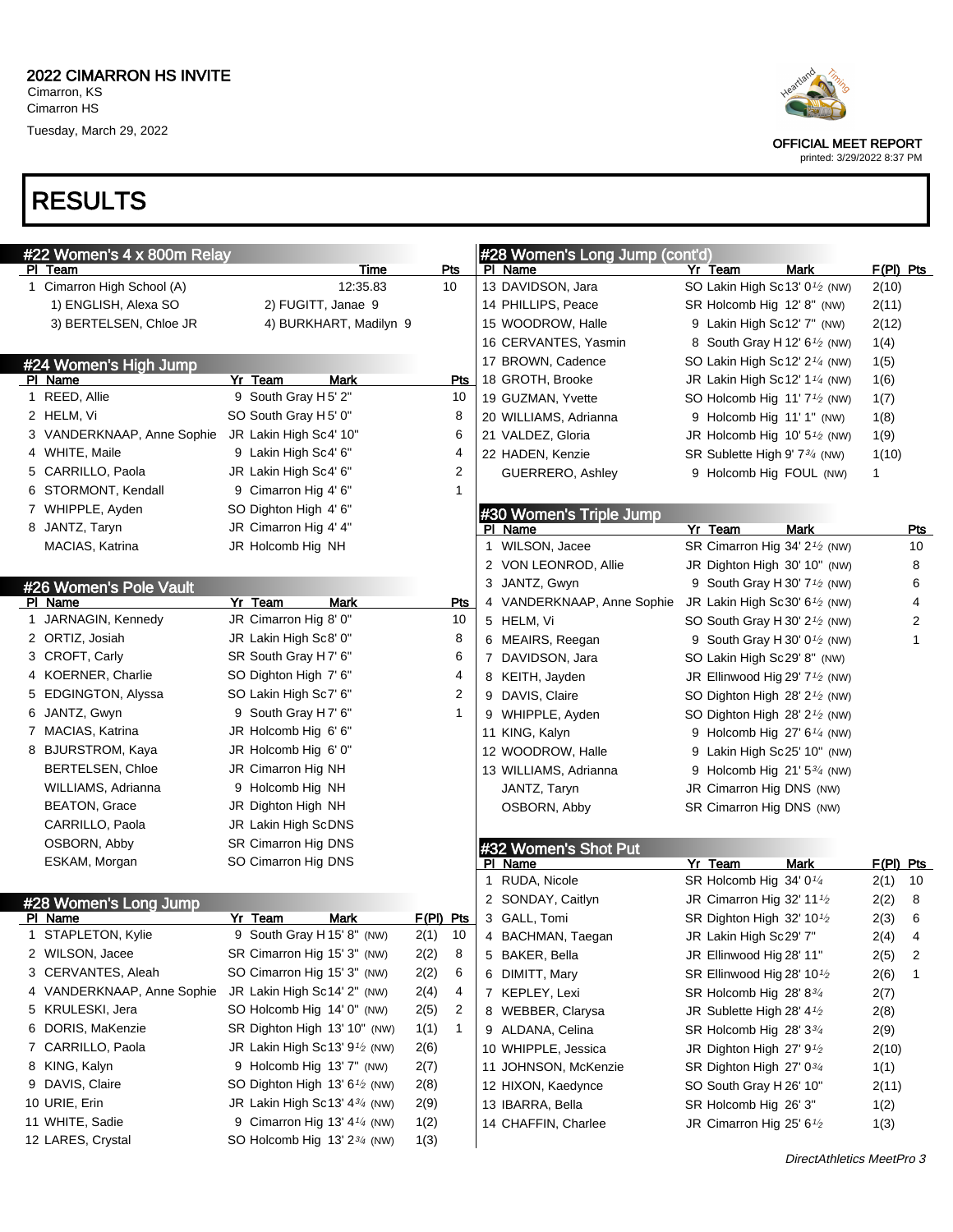

OFFICIAL MEET REPORT

printed: 3/29/2022 8:37 PM

#### RESULTS

| #22 Women's 4 x 800m Relay |                                         |           |     |   | #28 Women's Long Jump (cont'd)  |                                                         |             |
|----------------------------|-----------------------------------------|-----------|-----|---|---------------------------------|---------------------------------------------------------|-------------|
| PI Team                    | Time                                    | Pts       |     |   | PI Name                         | Yr Team<br><b>Mark</b>                                  | $F(PI)$ Pts |
| 1 Cimarron High School (A) | 12:35.83                                | 10        |     |   | 13 DAVIDSON, Jara               | SO Lakin High Sc13' 0 <sup>1/2</sup> (NW)               | 2(10)       |
| 1) ENGLISH, Alexa SO       | 2) FUGITT, Janae 9                      |           |     |   | 14 PHILLIPS, Peace              | SR Holcomb Hig 12' 8" (NW)                              | 2(11)       |
| 3) BERTELSEN, Chloe JR     | 4) BURKHART, Madilyn 9                  |           |     |   | 15 WOODROW, Halle               | 9 Lakin High Sc12' 7" (NW)                              | 2(12)       |
|                            |                                         |           |     |   | 16 CERVANTES, Yasmin            | 8 South Gray H 12' 6 <sup>1</sup> / <sub>2</sub> (NW)   | 1(4)        |
| #24 Women's High Jump      |                                         |           |     |   | 17 BROWN, Cadence               | SO Lakin High Sc12' $2\frac{1}{4}$ (NW)                 | 1(5)        |
| PI Name                    | Yr Team<br>Mark                         |           | Pts |   | 18 GROTH, Brooke                | JR Lakin High Sc12' $1\frac{1}{4}$ (NW)                 | 1(6)        |
| 1 REED, Allie              | 9 South Gray H 5' 2"                    |           | 10  |   | 19 GUZMAN, Yvette               | SO Holcomb Hig $11'7'$ (NW)                             | 1(7)        |
| 2 HELM, Vi                 | SO South Gray H 5' 0"                   |           | 8   |   | 20 WILLIAMS, Adrianna           | 9 Holcomb Hig 11' 1" (NW)                               | 1(8)        |
| 3 VANDERKNAAP, Anne Sophie | JR Lakin High Sc4' 10"                  |           | 6   |   | 21 VALDEZ, Gloria               | JR Holcomb Hig $10'5\frac{1}{2}$ (NW)                   | 1(9)        |
| 4 WHITE, Maile             | 9 Lakin High Sc4' 6"                    |           | 4   |   | 22 HADEN, Kenzie                | SR Sublette High 9' 7 <sup>3/4</sup> (NW)               | 1(10)       |
| 5 CARRILLO, Paola          | JR Lakin High Sc4' 6"                   |           | 2   |   | GUERRERO, Ashley                | 9 Holcomb Hig FOUL (NW)                                 | 1           |
| 6 STORMONT, Kendall        | 9 Cimarron Hig 4' 6"                    |           | 1   |   |                                 |                                                         |             |
| 7 WHIPPLE, Ayden           | SO Dighton High 4' 6"                   |           |     |   | #30 Women's Triple Jump         |                                                         |             |
| 8 JANTZ, Taryn             | JR Cimarron Hig 4' 4"                   |           |     |   | PI Name                         | Yr Team<br><b>Mark</b>                                  | Pts         |
| MACIAS, Katrina            | JR Holcomb Hig NH                       |           |     |   | 1 WILSON, Jacee                 | SR Cimarron Hig 34' 2 <sup>1</sup> / <sub>2</sub> (NW)  | 10          |
|                            |                                         |           |     |   | 2 VON LEONROD, Allie            | JR Dighton High 30' 10" (NW)                            | 8           |
| #26 Women's Pole Vault     |                                         |           |     |   | 3 JANTZ, Gwyn                   | 9 South Gray H 30' 7 <sup>1</sup> / <sub>2</sub> (NW)   | 6           |
| PI Name                    | Yr Team<br>Mark                         |           | Pts |   | 4 VANDERKNAAP, Anne Sophie      | JR Lakin High Sc30' 6 <sup>1</sup> / <sub>2</sub> (NW)  | 4           |
| 1 JARNAGIN, Kennedy        | JR Cimarron Hig 8' 0"                   |           | 10  |   | 5 HELM, Vi                      | SO South Gray H 30' $2\frac{1}{2}$ (NW)                 | 2           |
| 2 ORTIZ, Josiah            | JR Lakin High Sc8' 0"                   |           | 8   |   | 6 MEAIRS, Reegan                | 9 South Gray H 30' $0\frac{1}{2}$ (NW)                  | 1           |
| 3 CROFT, Carly             | SR South Gray H7' 6"                    |           | 6   |   | 7 DAVIDSON, Jara                | SO Lakin High Sc29' 8" (NW)                             |             |
| 4 KOERNER, Charlie         | SO Dighton High 7' 6"                   |           | 4   |   | 8 KEITH, Jayden                 | JR Ellinwood Hig 29' 7 <sup>1</sup> / <sub>2</sub> (NW) |             |
| 5 EDGINGTON, Alyssa        | SO Lakin High Sc7' 6"                   |           | 2   |   | 9 DAVIS, Claire                 | SO Dighton High 28' 2 <sup>1</sup> / <sub>2</sub> (NW)  |             |
| 6 JANTZ, Gwyn              | 9 South Gray H7' 6"                     |           | 1   |   | 9 WHIPPLE, Ayden                | SO Dighton High 28' 2 <sup>1</sup> / <sub>2</sub> (NW)  |             |
| 7 MACIAS, Katrina          | JR Holcomb Hig 6' 6"                    |           |     |   | 11 KING, Kalyn                  | 9 Holcomb Hig $27'6''$ (NW)                             |             |
| 8 BJURSTROM, Kaya          | JR Holcomb Hig 6' 0"                    |           |     |   | 12 WOODROW, Halle               | 9 Lakin High Sc25' 10" (NW)                             |             |
| <b>BERTELSEN, Chloe</b>    | JR Cimarron Hig NH                      |           |     |   | 13 WILLIAMS, Adrianna           | 9 Holcomb Hig $21'5^{3/4}$ (NW)                         |             |
| WILLIAMS, Adrianna         | 9 Holcomb Hig NH                        |           |     |   | JANTZ, Taryn                    | JR Cimarron Hig DNS (NW)                                |             |
| <b>BEATON, Grace</b>       | JR Dighton High NH                      |           |     |   | OSBORN, Abby                    | SR Cimarron Hig DNS (NW)                                |             |
| CARRILLO, Paola            | JR Lakin High ScDNS                     |           |     |   |                                 |                                                         |             |
| OSBORN, Abby               | SR Cimarron Hig DNS                     |           |     |   |                                 |                                                         |             |
| ESKAM, Morgan              | SO Cimarron Hig DNS                     |           |     |   | #32 Women's Shot Put<br>PI Name | Yr Team<br>Mark                                         | F(PI) Pts   |
|                            |                                         |           |     |   | 1 RUDA, Nicole                  | SR Holcomb Hig 34' 01/4                                 | 2(1)<br>10  |
| #28 Women's Long Jump      |                                         |           |     |   | 2 SONDAY, Caitlyn               | JR Cimarron Hig 32' 11 <sup>1</sup> /2                  | 2(2)<br>8   |
| PI Name                    | <b>Mark</b><br>Yr Team                  | F(PI) Pts |     |   | 3 GALL, Tomi                    | SR Dighton High 32' 10 <sup>1</sup> / <sub>2</sub>      | 2(3)<br>6   |
| 1 STAPLETON, Kylie         | 9 South Gray H 15' 8" (NW)              | 2(1)      | 10  | 4 | BACHMAN, Taegan                 | JR Lakin High Sc29' 7"                                  | 2(4)<br>-4  |
| 2 WILSON, Jacee            | SR Cimarron Hig 15' 3" (NW)             | 2(2)      | 8   |   | 5 BAKER, Bella                  | JR Ellinwood Hig 28' 11"                                | 2(5)<br>2   |
| 3 CERVANTES, Aleah         | SO Cimarron Hig 15' 3" (NW)             | 2(2)      | 6   |   | 6 DIMITT, Mary                  | SR Ellinwood Hig 28' 101/2                              | 2(6)<br>1   |
| 4 VANDERKNAAP, Anne Sophie | JR Lakin High Sc14' 2" (NW)             | 2(4)      | 4   |   | 7 KEPLEY, Lexi                  | SR Holcomb Hig 28' 83/4                                 | 2(7)        |
| 5 KRULESKI, Jera           | SO Holcomb Hig 14' 0" (NW)              | 2(5)      | 2   |   | 8 WEBBER, Clarysa               | JR Sublette High 28' 4 <sup>1</sup> /2                  | 2(8)        |
| 6 DORIS, MaKenzie          | SR Dighton High 13' 10" (NW)            | 1(1)      | 1   |   | 9 ALDANA, Celina                | SR Holcomb Hig 28' 33/4                                 | 2(9)        |
| 7 CARRILLO, Paola          | JR Lakin High Sc13' $91$ (NW)           | 2(6)      |     |   | 10 WHIPPLE, Jessica             | JR Dighton High 27' 91/2                                | 2(10)       |
| 8 KING, Kalyn              | 9 Holcomb Hig 13' 7" (NW)               | 2(7)      |     |   | 11 JOHNSON, McKenzie            | SR Dighton High 27' 03/4                                | 1(1)        |
| 9 DAVIS, Claire            | SO Dighton High 13' $6\frac{1}{2}$ (NW) | 2(8)      |     |   | 12 HIXON, Kaedynce              | SO South Gray H 26' 10"                                 | 2(11)       |
| 10 URIE, Erin              | JR Lakin High Sc13' $4\frac{3}{4}$ (NW) | 2(9)      |     |   | 13 IBARRA, Bella                | SR Holcomb Hig 26' 3"                                   | 1(2)        |
| 11 WHITE, Sadie            | 9 Cimarron Hig 13' $4\frac{1}{4}$ (NW)  | 1(2)      |     |   | 14 CHAFFIN, Charlee             | JR Cimarron Hig 25' 61/2                                | 1(3)        |
| 12 LARES, Crystal          | SO Holcomb Hig $13'2^{3/4}$ (NW)        | 1(3)      |     |   |                                 |                                                         |             |
|                            |                                         |           |     |   |                                 |                                                         |             |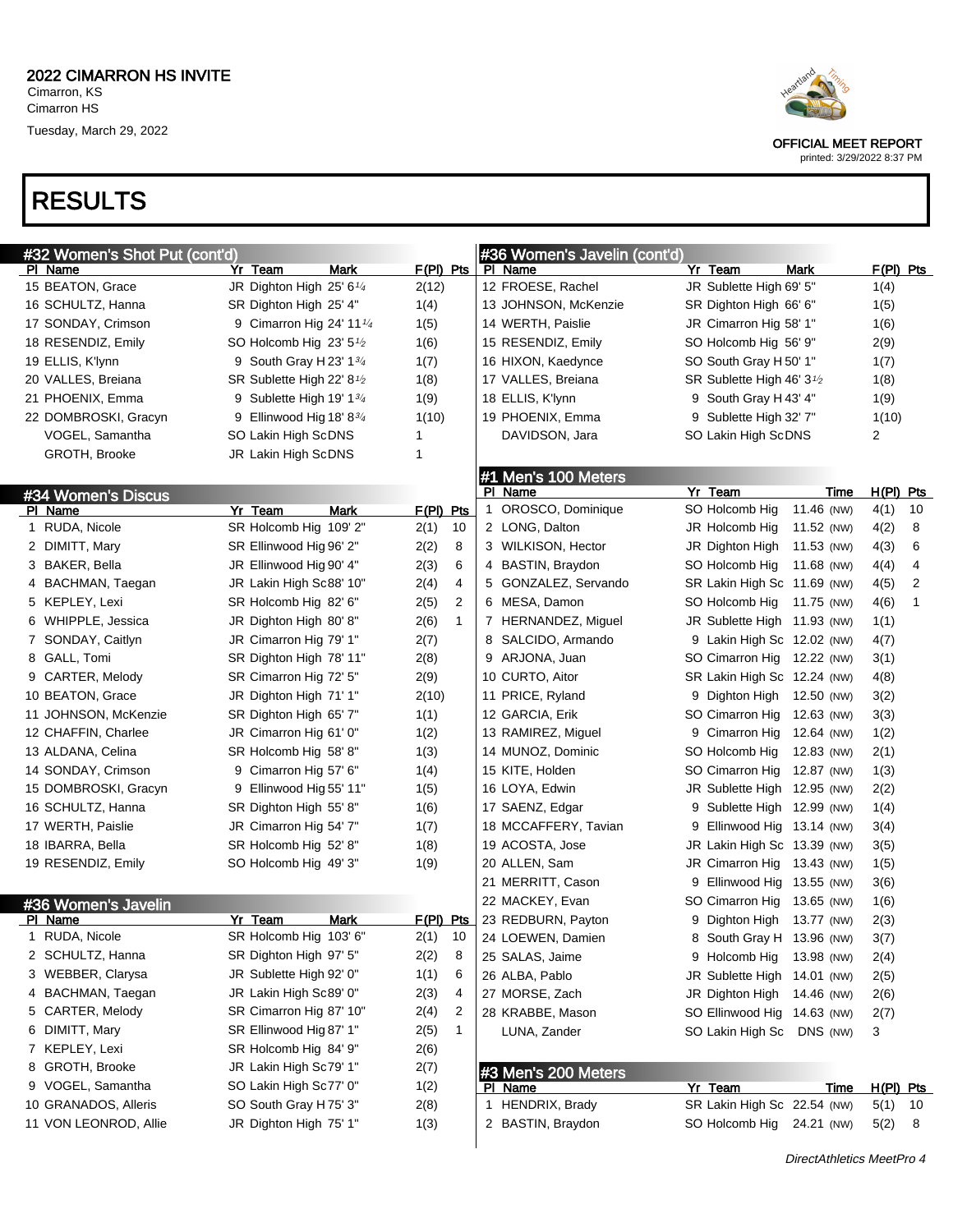#### RESULTS

| Heartland<br>in<br>O |
|----------------------|
|                      |

OFFICIAL MEET REPORT

| #32 Women's Shot Put (cont'd) |                                                    |                      | #36 Women's Javelin (cont'd) |                                        |            |                           |
|-------------------------------|----------------------------------------------------|----------------------|------------------------------|----------------------------------------|------------|---------------------------|
| PI Name                       | Yr Team<br>Mark                                    | $F(PI)$ Pts          | PI Name                      | Yr Team                                | Mark       | $F(PI)$ Pts               |
| 15 BEATON, Grace              | JR Dighton High 25' 61/4                           | 2(12)                | 12 FROESE, Rachel            | JR Sublette High 69' 5"                |            | 1(4)                      |
| 16 SCHULTZ, Hanna             | SR Dighton High 25' 4"                             | 1(4)                 | 13 JOHNSON, McKenzie         | SR Dighton High 66' 6"                 |            | 1(5)                      |
| 17 SONDAY, Crimson            | 9 Cimarron Hig 24' 11 $\frac{1}{4}$                | 1(5)                 | 14 WERTH, Paislie            | JR Cimarron Hig 58' 1"                 |            | 1(6)                      |
| 18 RESENDIZ, Emily            | SO Holcomb Hig 23' $5\frac{1}{2}$                  | 1(6)                 | 15 RESENDIZ, Emily           | SO Holcomb Hig 56' 9"                  |            | 2(9)                      |
| 19 ELLIS, K'lynn              | 9 South Gray H 23' $1\frac{3}{4}$                  | 1(7)                 | 16 HIXON, Kaedynce           | SO South Gray H 50' 1"                 |            | 1(7)                      |
| 20 VALLES, Breiana            | SR Sublette High 22' 8 <sup>1</sup> / <sub>2</sub> | 1(8)                 | 17 VALLES, Breiana           | SR Sublette High 46' 3 <sup>1</sup> /2 |            | 1(8)                      |
| 21 PHOENIX, Emma              | 9 Sublette High 19' $1\frac{3}{4}$                 | 1(9)                 | 18 ELLIS, K'lynn             | 9 South Gray H 43' 4"                  |            | 1(9)                      |
| 22 DOMBROSKI, Gracyn          | 9 Ellinwood Hig 18' $8\frac{3}{4}$                 | 1(10)                | 19 PHOENIX, Emma             | 9 Sublette High 32' 7"                 |            | 1(10)                     |
| VOGEL, Samantha               | SO Lakin High ScDNS                                | 1                    | DAVIDSON, Jara               | SO Lakin High ScDNS                    |            | 2                         |
| GROTH, Brooke                 | JR Lakin High ScDNS                                | 1                    |                              |                                        |            |                           |
|                               |                                                    |                      | #1 Men's 100 Meters          |                                        |            |                           |
| #34 Women's Discus            |                                                    |                      | PI Name                      | Yr Team                                | Time       | $H(PI)$ Pts               |
| PI Name                       | Yr Team<br>Mark                                    | $F(PI)$ Pts          | 1 OROSCO, Dominique          | SO Holcomb Hig                         | 11.46 (NW) | 4(1)<br>10                |
| 1 RUDA, Nicole                | SR Holcomb Hig 109' 2"                             | 10<br>2(1)           | 2 LONG, Dalton               | JR Holcomb Hig                         | 11.52 (NW) | 8<br>4(2)                 |
| 2 DIMITT, Mary                | SR Ellinwood Hig 96' 2"                            | 2(2)<br>8            | 3 WILKISON, Hector           | JR Dighton High                        | 11.53 (NW) | 6<br>4(3)                 |
| 3 BAKER, Bella                | JR Ellinwood Hig 90' 4"                            | 2(3)<br>6            | 4 BASTIN, Braydon            | SO Holcomb Hig                         | 11.68 (NW) | 4<br>4(4)                 |
| 4 BACHMAN, Taegan             | JR Lakin High Sc88' 10"                            | 4<br>2(4)            | 5 GONZALEZ, Servando         | SR Lakin High Sc 11.69 (NW)            |            | 2<br>4(5)                 |
| 5 KEPLEY, Lexi                | SR Holcomb Hig 82' 6"                              | 2(5)<br>2            | 6 MESA, Damon                | SO Holcomb Hig                         | 11.75 (NW) | 1<br>4(6)                 |
| 6 WHIPPLE, Jessica            | JR Dighton High 80' 8"                             | 2(6)<br>$\mathbf{1}$ | 7 HERNANDEZ, Miguel          | JR Sublette High 11.93 (NW)            |            | 1(1)                      |
| 7 SONDAY, Caitlyn             | JR Cimarron Hig 79' 1"                             | 2(7)                 | 8 SALCIDO, Armando           | 9 Lakin High Sc 12.02 (NW)             |            | 4(7)                      |
| 8 GALL, Tomi                  | SR Dighton High 78' 11"                            | 2(8)                 | 9 ARJONA, Juan               | SO Cimarron Hig 12.22 (NW)             |            | 3(1)                      |
| 9 CARTER, Melody              | SR Cimarron Hig 72' 5"                             | 2(9)                 | 10 CURTO, Aitor              | SR Lakin High Sc 12.24 (NW)            |            | 4(8)                      |
| 10 BEATON, Grace              | JR Dighton High 71' 1"                             | 2(10)                | 11 PRICE, Ryland             | 9 Dighton High 12.50 (NW)              |            | 3(2)                      |
| 11 JOHNSON, McKenzie          | SR Dighton High 65' 7"                             | 1(1)                 | 12 GARCIA, Erik              | SO Cimarron Hig 12.63 (NW)             |            | 3(3)                      |
| 12 CHAFFIN, Charlee           | JR Cimarron Hig 61' 0"                             | 1(2)                 | 13 RAMIREZ, Miguel           | 9 Cimarron Hig                         | 12.64 (NW) | 1(2)                      |
| 13 ALDANA, Celina             | SR Holcomb Hig 58' 8"                              | 1(3)                 | 14 MUNOZ, Dominic            | SO Holcomb Hig                         | 12.83 (NW) | 2(1)                      |
| 14 SONDAY, Crimson            | 9 Cimarron Hig 57' 6"                              | 1(4)                 | 15 KITE, Holden              | SO Cimarron Hig 12.87 (NW)             |            | 1(3)                      |
| 15 DOMBROSKI, Gracyn          | 9 Ellinwood Hig 55' 11"                            | 1(5)                 | 16 LOYA, Edwin               | JR Sublette High 12.95 (NW)            |            | 2(2)                      |
| 16 SCHULTZ, Hanna             | SR Dighton High 55' 8"                             | 1(6)                 | 17 SAENZ, Edgar              | 9 Sublette High 12.99 (NW)             |            | 1(4)                      |
| 17 WERTH, Paislie             | JR Cimarron Hig 54' 7"                             | 1(7)                 | 18 MCCAFFERY, Tavian         | 9 Ellinwood Hig 13.14 (NW)             |            | 3(4)                      |
| 18 IBARRA, Bella              | SR Holcomb Hig 52' 8"                              | 1(8)                 | 19 ACOSTA, Jose              | JR Lakin High Sc 13.39 (NW)            |            | 3(5)                      |
| 19 RESENDIZ, Emily            | SO Holcomb Hig 49' 3"                              | 1(9)                 | 20 ALLEN, Sam                | JR Cimarron Hig 13.43 (NW)             |            | 1(5)                      |
|                               |                                                    |                      | 21 MERRITT, Cason            | 9 Ellinwood Hig 13.55 (NW)             |            | 3(6)                      |
| #36 Women's Javelin           |                                                    |                      | 22 MACKEY, Evan              | SO Cimarron Hig                        | 13.65 (NW) | 1(6)                      |
| PI Name                       | Yr Team<br>Mark                                    | $F(PI)$ Pts          | 23 REDBURN, Payton           | 9 Dighton High 13.77 (NW)              |            | 2(3)                      |
| RUDA, Nicole                  | SR Holcomb Hig 103' 6"                             | 2(1)<br>10           | 24 LOEWEN, Damien            | 8 South Gray H 13.96 (NW)              |            | 3(7)                      |
| 2 SCHULTZ, Hanna              | SR Dighton High 97' 5"                             | 2(2)<br>8            | 25 SALAS, Jaime              | 9 Holcomb Hig                          | 13.98 (NW) | 2(4)                      |
| 3 WEBBER, Clarysa             | JR Sublette High 92' 0"                            | 1(1)<br>6            | 26 ALBA, Pablo               | JR Sublette High 14.01 (NW)            |            | 2(5)                      |
| 4 BACHMAN, Taegan             | JR Lakin High Sc89' 0"                             | 2(3)<br>4            | 27 MORSE, Zach               | JR Dighton High 14.46 (NW)             |            | 2(6)                      |
| 5 CARTER, Melody              | SR Cimarron Hig 87' 10"                            | 2(4)<br>2            | 28 KRABBE, Mason             | SO Ellinwood Hig 14.63 (NW)            |            | 2(7)                      |
| 6 DIMITT, Mary                | SR Ellinwood Hig 87' 1"                            | 2(5)<br>$\mathbf 1$  | LUNA, Zander                 | SO Lakin High Sc DNS (NW)              |            | 3                         |
| 7 KEPLEY, Lexi                | SR Holcomb Hig 84' 9"                              | 2(6)                 |                              |                                        |            |                           |
| 8 GROTH, Brooke               | JR Lakin High Sc79' 1"                             | 2(7)                 | #3 Men's 200 Meters          |                                        |            |                           |
| 9 VOGEL, Samantha             | SO Lakin High Sc77' 0"                             | 1(2)                 | PI Name                      | Yr Team                                | Time       | $H(PI)$ Pts               |
| 10 GRANADOS, Alleris          | SO South Gray H75' 3"                              | 2(8)                 | 1 HENDRIX, Brady             | SR Lakin High Sc 22.54 (NW)            |            | 5(1)<br>- 10              |
| 11 VON LEONROD, Allie         | JR Dighton High 75' 1"                             | 1(3)                 | 2 BASTIN, Braydon            | SO Holcomb Hig 24.21 (NW)              |            | 5(2)<br>- 8               |
|                               |                                                    |                      |                              |                                        |            | DirectAthletics MeetPro 4 |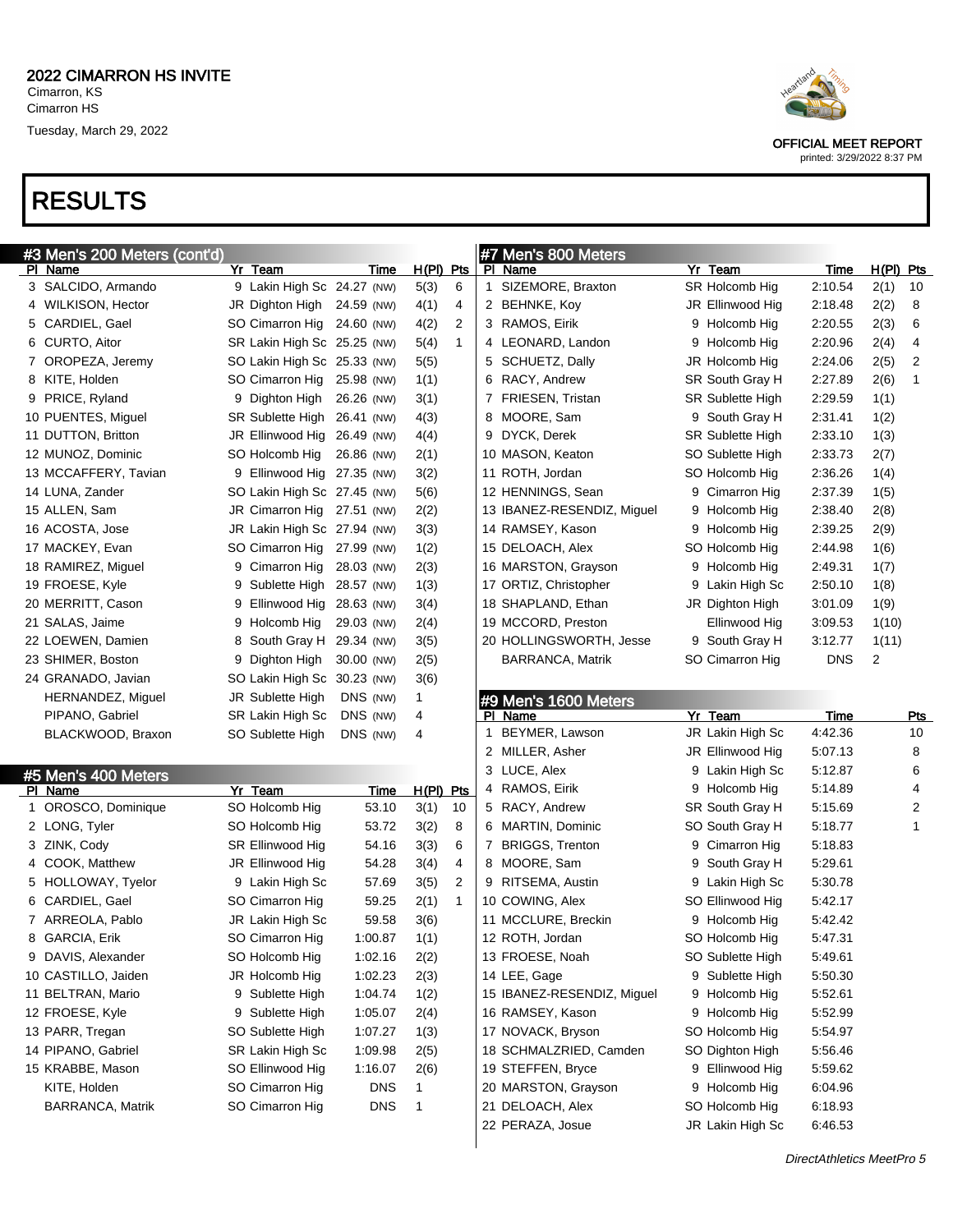## RESULTS

| #3 Men's 200 Meters (cont'd) |                      |  |                             |             |              |              | #7 Men's 800 Meters |                            |   |                  |             |                |                         |
|------------------------------|----------------------|--|-----------------------------|-------------|--------------|--------------|---------------------|----------------------------|---|------------------|-------------|----------------|-------------------------|
|                              | PI Name              |  | Yr Team                     | Time        | H(PI) Pts    |              |                     | PI Name                    |   | Yr Team          | <u>Time</u> | $H(PI)$ Pts    |                         |
|                              | 3 SALCIDO, Armando   |  | 9 Lakin High Sc 24.27 (NW)  |             | 5(3)         | 6            |                     | 1 SIZEMORE, Braxton        |   | SR Holcomb Hig   | 2:10.54     | 2(1)           | 10                      |
|                              | 4 WILKISON, Hector   |  | JR Dighton High 24.59 (NW)  |             | 4(1)         | 4            |                     | 2 BEHNKE, Koy              |   | JR Ellinwood Hig | 2:18.48     | 2(2)           | 8                       |
|                              | 5 CARDIEL, Gael      |  | SO Cimarron Hig 24.60 (NW)  |             | 4(2)         | 2            |                     | 3 RAMOS, Eirik             |   | 9 Holcomb Hig    | 2:20.55     | 2(3)           | 6                       |
|                              | 6 CURTO, Aitor       |  | SR Lakin High Sc 25.25 (NW) |             | 5(4)         | $\mathbf{1}$ |                     | 4 LEONARD, Landon          | 9 | Holcomb Hig      | 2:20.96     | 2(4)           | 4                       |
|                              | 7 OROPEZA, Jeremy    |  | SO Lakin High Sc 25.33 (NW) |             | 5(5)         |              |                     | 5 SCHUETZ, Dally           |   | JR Holcomb Hig   | 2:24.06     | 2(5)           | 2                       |
|                              | 8 KITE, Holden       |  | SO Cimarron Hig             | 25.98 (NW)  | 1(1)         |              |                     | 6 RACY, Andrew             |   | SR South Gray H  | 2:27.89     | 2(6)           | 1                       |
|                              | 9 PRICE, Ryland      |  | 9 Dighton High              | 26.26 (NW)  | 3(1)         |              |                     | 7 FRIESEN, Tristan         |   | SR Sublette High | 2:29.59     | 1(1)           |                         |
|                              | 10 PUENTES, Miguel   |  | SR Sublette High 26.41 (NW) |             | 4(3)         |              |                     | 8 MOORE, Sam               |   | 9 South Gray H   | 2:31.41     | 1(2)           |                         |
|                              | 11 DUTTON, Britton   |  | JR Ellinwood Hig            | 26.49 (NW)  | 4(4)         |              |                     | 9 DYCK, Derek              |   | SR Sublette High | 2:33.10     | 1(3)           |                         |
|                              | 12 MUNOZ, Dominic    |  | SO Holcomb Hig              | 26.86 (NW)  | 2(1)         |              |                     | 10 MASON, Keaton           |   | SO Sublette High | 2:33.73     | 2(7)           |                         |
|                              | 13 MCCAFFERY, Tavian |  | 9 Ellinwood Hig 27.35 (NW)  |             | 3(2)         |              |                     | 11 ROTH, Jordan            |   | SO Holcomb Hig   | 2:36.26     | 1(4)           |                         |
|                              | 14 LUNA, Zander      |  | SO Lakin High Sc 27.45 (NW) |             | 5(6)         |              |                     | 12 HENNINGS, Sean          | 9 | Cimarron Hig     | 2:37.39     | 1(5)           |                         |
|                              | 15 ALLEN, Sam        |  | JR Cimarron Hig 27.51 (NW)  |             | 2(2)         |              |                     | 13 IBANEZ-RESENDIZ, Miguel | 9 | Holcomb Hig      | 2:38.40     | 2(8)           |                         |
|                              | 16 ACOSTA, Jose      |  | JR Lakin High Sc 27.94 (NW) |             | 3(3)         |              |                     | 14 RAMSEY, Kason           | 9 | Holcomb Hig      | 2:39.25     | 2(9)           |                         |
|                              | 17 MACKEY, Evan      |  | SO Cimarron Hig             | 27.99 (NW)  | 1(2)         |              |                     | 15 DELOACH, Alex           |   | SO Holcomb Hig   | 2:44.98     | 1(6)           |                         |
|                              | 18 RAMIREZ, Miguel   |  | 9 Cimarron Hig              | 28.03 (NW)  | 2(3)         |              |                     | 16 MARSTON, Grayson        | 9 | Holcomb Hig      | 2:49.31     | 1(7)           |                         |
|                              | 19 FROESE, Kyle      |  | 9 Sublette High 28.57 (NW)  |             | 1(3)         |              |                     | 17 ORTIZ, Christopher      | 9 | Lakin High Sc    | 2:50.10     | 1(8)           |                         |
|                              | 20 MERRITT, Cason    |  | 9 Ellinwood Hig             | 28.63 (NW)  | 3(4)         |              |                     | 18 SHAPLAND, Ethan         |   | JR Dighton High  | 3:01.09     | 1(9)           |                         |
|                              | 21 SALAS, Jaime      |  | 9 Holcomb Hig               | 29.03 (NW)  | 2(4)         |              |                     | 19 MCCORD, Preston         |   | Ellinwood Hig    | 3:09.53     | 1(10)          |                         |
|                              | 22 LOEWEN, Damien    |  | 8 South Gray H 29.34 (NW)   |             | 3(5)         |              |                     | 20 HOLLINGSWORTH, Jesse    |   | 9 South Gray H   | 3:12.77     | 1(11)          |                         |
|                              | 23 SHIMER, Boston    |  | 9 Dighton High              | 30.00 (NW)  | 2(5)         |              |                     | <b>BARRANCA, Matrik</b>    |   | SO Cimarron Hig  | <b>DNS</b>  | $\overline{c}$ |                         |
|                              | 24 GRANADO, Javian   |  | SO Lakin High Sc 30.23 (NW) |             | 3(6)         |              |                     |                            |   |                  |             |                |                         |
|                              | HERNANDEZ, Miguel    |  | JR Sublette High            | DNS (NW)    | 1            |              |                     | #9 Men's 1600 Meters       |   |                  |             |                |                         |
|                              |                      |  |                             |             |              |              |                     |                            |   |                  |             |                |                         |
|                              | PIPANO, Gabriel      |  | SR Lakin High Sc            | DNS (NW)    | 4            |              |                     | <b>PI</b> Name             |   | Yr Team          | <b>Time</b> |                | <b>Pts</b>              |
|                              | BLACKWOOD, Braxon    |  | SO Sublette High            | DNS (NW)    | 4            |              | 1                   | BEYMER, Lawson             |   | JR Lakin High Sc | 4:42.36     |                | 10                      |
|                              |                      |  |                             |             |              |              |                     | 2 MILLER, Asher            |   | JR Ellinwood Hig | 5:07.13     |                | 8                       |
|                              | #5 Men's 400 Meters  |  |                             |             |              |              |                     | 3 LUCE, Alex               | 9 | Lakin High Sc    | 5:12.87     |                | 6                       |
|                              | PI Name              |  | Yr Team                     | <u>Time</u> | H(PI) Pts    |              |                     | 4 RAMOS, Eirik             | 9 | Holcomb Hig      | 5:14.89     |                | 4                       |
|                              | 1 OROSCO, Dominique  |  | SO Holcomb Hig              | 53.10       | 3(1)         | 10           |                     | 5 RACY, Andrew             |   | SR South Gray H  | 5:15.69     |                | $\overline{\mathbf{c}}$ |
|                              | 2 LONG, Tyler        |  | SO Holcomb Hig              | 53.72       | 3(2)         | 8            |                     | 6 MARTIN, Dominic          |   | SO South Gray H  | 5:18.77     |                | $\mathbf{1}$            |
|                              | 3 ZINK, Cody         |  | SR Ellinwood Hig            | 54.16       | 3(3)         | 6            |                     | 7 BRIGGS, Trenton          | 9 | Cimarron Hig     | 5:18.83     |                |                         |
|                              | 4 COOK, Matthew      |  | JR Ellinwood Hig            | 54.28       | 3(4)         | 4            |                     | 8 MOORE, Sam               | 9 | South Gray H     | 5:29.61     |                |                         |
|                              | 5 HOLLOWAY, Tyelor   |  | 9 Lakin High Sc             | 57.69       | 3(5)         | 2            |                     | 9 RITSEMA, Austin          | 9 | Lakin High Sc    | 5:30.78     |                |                         |
|                              | 6 CARDIEL, Gael      |  | SO Cimarron Hig             | 59.25       | 2(1)         | $\mathbf 1$  |                     | 10 COWING, Alex            |   | SO Ellinwood Hig | 5:42.17     |                |                         |
|                              | 7 ARREOLA, Pablo     |  | JR Lakin High Sc            | 59.58       | 3(6)         |              |                     | 11 MCCLURE, Breckin        | 9 | Holcomb Hig      | 5:42.42     |                |                         |
|                              | 8 GARCIA, Erik       |  | SO Cimarron Hig             | 1:00.87     | 1(1)         |              |                     | 12 ROTH, Jordan            |   | SO Holcomb Hig   | 5:47.31     |                |                         |
|                              | 9 DAVIS, Alexander   |  | SO Holcomb Hig              | 1:02.16     | 2(2)         |              |                     | 13 FROESE, Noah            |   | SO Sublette High | 5:49.61     |                |                         |
|                              | 10 CASTILLO, Jaiden  |  | JR Holcomb Hig              | 1:02.23     | 2(3)         |              |                     | 14 LEE, Gage               |   | 9 Sublette High  | 5:50.30     |                |                         |
|                              | 11 BELTRAN, Mario    |  | 9 Sublette High             | 1:04.74     | 1(2)         |              |                     | 15 IBANEZ-RESENDIZ, Miguel | 9 | Holcomb Hig      | 5:52.61     |                |                         |
|                              | 12 FROESE, Kyle      |  | 9 Sublette High             | 1:05.07     | 2(4)         |              |                     | 16 RAMSEY, Kason           | 9 | Holcomb Hig      | 5:52.99     |                |                         |
|                              | 13 PARR, Tregan      |  | SO Sublette High            | 1:07.27     | 1(3)         |              |                     | 17 NOVACK, Bryson          |   | SO Holcomb Hig   | 5:54.97     |                |                         |
|                              | 14 PIPANO, Gabriel   |  | SR Lakin High Sc            | 1:09.98     | 2(5)         |              |                     | 18 SCHMALZRIED, Camden     |   | SO Dighton High  | 5:56.46     |                |                         |
|                              | 15 KRABBE, Mason     |  | SO Ellinwood Hig            | 1:16.07     | 2(6)         |              |                     | 19 STEFFEN, Bryce          |   | 9 Ellinwood Hig  | 5:59.62     |                |                         |
|                              | KITE, Holden         |  | SO Cimarron Hig             | <b>DNS</b>  | 1            |              |                     | 20 MARSTON, Grayson        | 9 | Holcomb Hig      | 6:04.96     |                |                         |
|                              | BARRANCA, Matrik     |  | SO Cimarron Hig             | <b>DNS</b>  | $\mathbf{1}$ |              |                     | 21 DELOACH, Alex           |   | SO Holcomb Hig   | 6:18.93     |                |                         |



OFFICIAL MEET REPORT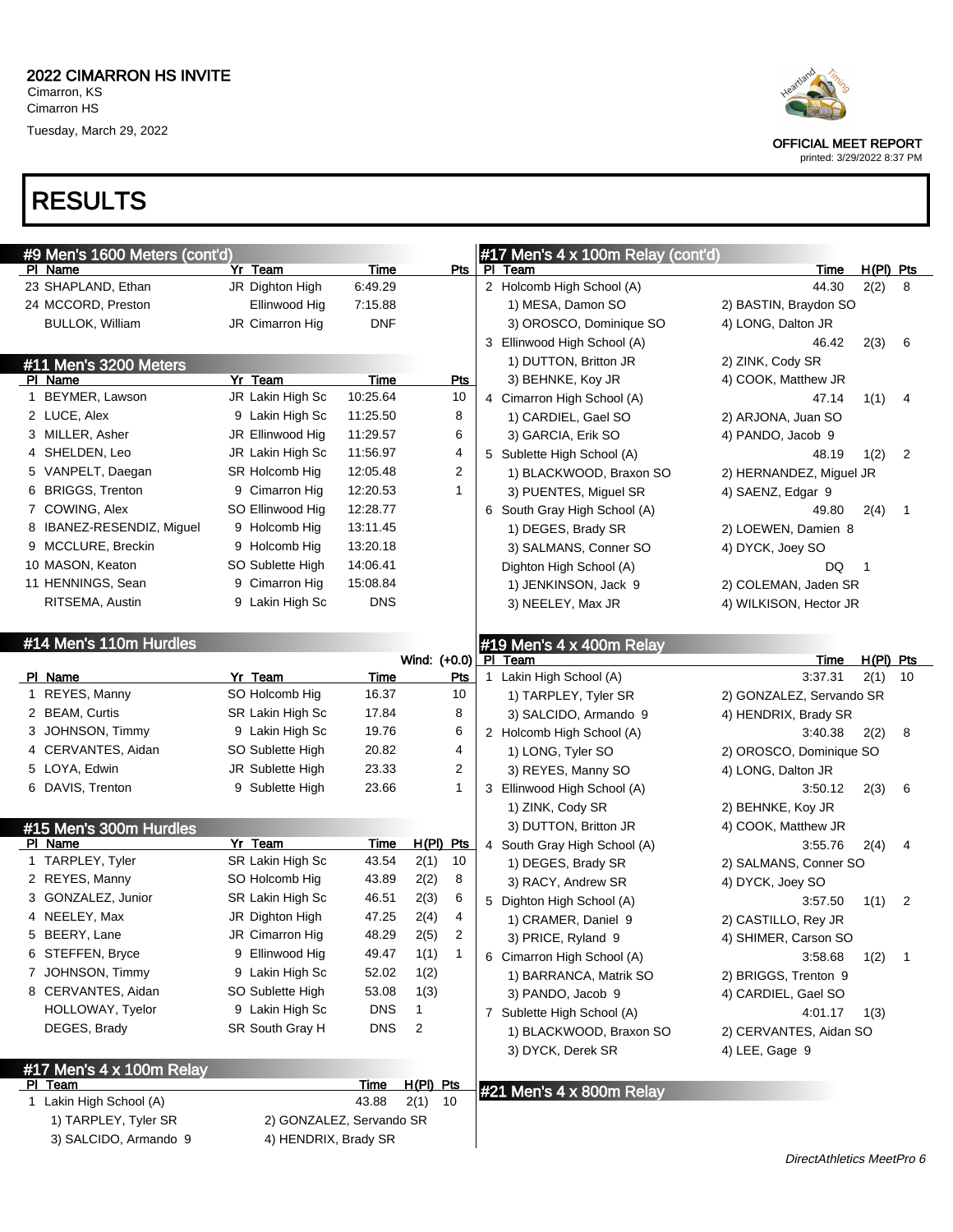

OFFICIAL MEET REPORT printed: 3/29/2022 8:37 PM

#### RESULTS

| #9 Men's 1600 Meters (cont'd) |                          |             |              |                | #17 Men's 4 x 100m Relay (cont'd) |                           |             |                |
|-------------------------------|--------------------------|-------------|--------------|----------------|-----------------------------------|---------------------------|-------------|----------------|
| PI Name                       | Yr Team                  | Time        |              | Pts            | PI Team                           | Time                      | $H(PI)$ Pts |                |
| 23 SHAPLAND, Ethan            | JR Dighton High          | 6:49.29     |              |                | 2 Holcomb High School (A)         | 44.30                     | 2(2)        | 8              |
| 24 MCCORD, Preston            | Ellinwood Hig            | 7:15.88     |              |                | 1) MESA, Damon SO                 | 2) BASTIN, Braydon SO     |             |                |
| <b>BULLOK, William</b>        | JR Cimarron Hig          | <b>DNF</b>  |              |                | 3) OROSCO, Dominique SO           | 4) LONG, Dalton JR        |             |                |
|                               |                          |             |              |                | 3 Ellinwood High School (A)       | 46.42                     | 2(3)        | 6              |
| #11 Men's 3200 Meters         |                          |             |              |                | 1) DUTTON, Britton JR             | 2) ZINK, Cody SR          |             |                |
| PI Name                       | Yr Team                  | Time        |              | <b>Pts</b>     | 3) BEHNKE, Koy JR                 | 4) COOK, Matthew JR       |             |                |
| 1 BEYMER, Lawson              | JR Lakin High Sc         | 10:25.64    |              | 10             | Cimarron High School (A)<br>4     | 47.14                     | 1(1)        | 4              |
| 2 LUCE, Alex                  | 9 Lakin High Sc          | 11:25.50    |              | 8              | 1) CARDIEL, Gael SO               | 2) ARJONA, Juan SO        |             |                |
| 3 MILLER, Asher               | JR Ellinwood Hig         | 11:29.57    |              | 6              | 3) GARCIA, Erik SO                | 4) PANDO, Jacob 9         |             |                |
| 4 SHELDEN, Leo                | JR Lakin High Sc         | 11:56.97    |              | 4              | 5 Sublette High School (A)        | 48.19                     | 1(2)        | $\overline{2}$ |
| 5 VANPELT, Daegan             | SR Holcomb Hig           | 12:05.48    |              | 2              | 1) BLACKWOOD, Braxon SO           | 2) HERNANDEZ, Miguel JR   |             |                |
| 6 BRIGGS, Trenton             | 9 Cimarron Hig           | 12:20.53    |              | $\mathbf{1}$   | 3) PUENTES, Miguel SR             | 4) SAENZ, Edgar 9         |             |                |
| 7 COWING, Alex                | SO Ellinwood Hig         | 12:28.77    |              |                | 6 South Gray High School (A)      | 49.80                     | 2(4)        | 1              |
| 8 IBANEZ-RESENDIZ, Miguel     | 9 Holcomb Hig            | 13:11.45    |              |                | 1) DEGES, Brady SR                | 2) LOEWEN, Damien 8       |             |                |
| 9 MCCLURE, Breckin            | 9 Holcomb Hig            | 13:20.18    |              |                | 3) SALMANS, Conner SO             | 4) DYCK, Joey SO          |             |                |
| 10 MASON, Keaton              | SO Sublette High         | 14:06.41    |              |                | Dighton High School (A)           | DQ.                       | $\mathbf 1$ |                |
| 11 HENNINGS, Sean             | 9 Cimarron Hig           | 15:08.84    |              |                | 1) JENKINSON, Jack 9              | 2) COLEMAN, Jaden SR      |             |                |
| RITSEMA, Austin               | 9 Lakin High Sc          | <b>DNS</b>  |              |                | 3) NEELEY, Max JR                 | 4) WILKISON, Hector JR    |             |                |
|                               |                          |             |              |                |                                   |                           |             |                |
| #14 Men's 110m Hurdles        |                          |             |              |                | #19 Men's 4 x 400m Relay          |                           |             |                |
|                               |                          |             | Wind: (+0.0) |                | PI Team                           | Time                      | $H(PI)$ Pts |                |
| PI Name                       | Yr Team                  | <u>Time</u> |              | <u>Pts</u>     | Lakin High School (A)<br>1        | 3:37.31                   | 2(1)        | 10             |
| 1 REYES, Manny                | SO Holcomb Hig           | 16.37       |              | 10             | 1) TARPLEY, Tyler SR              | 2) GONZALEZ, Servando SR  |             |                |
| 2 BEAM, Curtis                | SR Lakin High Sc         | 17.84       |              | 8              | 3) SALCIDO, Armando 9             | 4) HENDRIX, Brady SR      |             |                |
| 3 JOHNSON, Timmy              | 9 Lakin High Sc          | 19.76       |              | 6              | 2 Holcomb High School (A)         | 3:40.38                   | 2(2)        | 8              |
| 4 CERVANTES, Aidan            | SO Sublette High         | 20.82       |              | 4              | 1) LONG, Tyler SO                 | 2) OROSCO, Dominique SO   |             |                |
| 5 LOYA, Edwin                 | JR Sublette High         | 23.33       |              | 2              | 3) REYES, Manny SO                | 4) LONG, Dalton JR        |             |                |
| 6 DAVIS, Trenton              | 9 Sublette High          | 23.66       |              | 1              | 3 Ellinwood High School (A)       | 3:50.12                   | 2(3)        | 6              |
|                               |                          |             |              |                | 1) ZINK, Cody SR                  | 2) BEHNKE, Koy JR         |             |                |
| #15 Men's 300m Hurdles        |                          |             |              |                | 3) DUTTON, Britton JR             | 4) COOK, Matthew JR       |             |                |
| PI Name                       | Yr Team                  | <b>Time</b> | H(PI) Pts    |                | 4 South Gray High School (A)      | 3:55.76                   | 2(4)        | 4              |
| 1 TARPLEY, Tyler              | SR Lakin High Sc         | 43.54       | 2(1)         | 10             | 1) DEGES, Brady SR                | 2) SALMANS, Conner SO     |             |                |
| 2 REYES, Manny                | SO Holcomb Hig           | 43.89       | 2(2)         | 8              | 3) RACY, Andrew SR                | 4) DYCK, Joey SO          |             |                |
| 3 GONZALEZ, Junior            | SR Lakin High Sc         | 46.51       | 2(3)         | 6              | Dighton High School (A)<br>5      | 3:57.50                   | 1(1)        | $\overline{2}$ |
| 4 NEELEY, Max                 | JR Dighton High          | 47.25       | 2(4)         | 4              | 1) CRAMER, Daniel 9               | 2) CASTILLO, Rey JR       |             |                |
| 5 BEERY, Lane                 | JR Cimarron Hig          | 48.29       | 2(5)         | $\overline{c}$ | 3) PRICE, Ryland 9                | 4) SHIMER, Carson SO      |             |                |
| 6 STEFFEN, Bryce              | 9 Ellinwood Hig          | 49.47       | 1(1)         | $\mathbf{1}$   | 6 Cimarron High School (A)        | 3:58.68                   | 1(2)        | $\mathbf{1}$   |
| 7 JOHNSON, Timmy              | 9 Lakin High Sc          | 52.02       | 1(2)         |                | 1) BARRANCA, Matrik SO            | 2) BRIGGS, Trenton 9      |             |                |
| 8 CERVANTES, Aidan            | SO Sublette High         | 53.08       | 1(3)         |                | 3) PANDO, Jacob 9                 | 4) CARDIEL, Gael SO       |             |                |
| HOLLOWAY, Tyelor              | 9 Lakin High Sc          | <b>DNS</b>  | $\mathbf{1}$ |                | 7 Sublette High School (A)        | 4:01.17                   | 1(3)        |                |
| DEGES, Brady                  | SR South Gray H          | <b>DNS</b>  | 2            |                | 1) BLACKWOOD, Braxon SO           | 2) CERVANTES, Aidan SO    |             |                |
|                               |                          |             |              |                | 3) DYCK, Derek SR                 | 4) LEE, Gage 9            |             |                |
| #17 Men's 4 x 100m Relay      |                          |             |              |                |                                   |                           |             |                |
| PI Team                       |                          | <u>Time</u> | $H(PI)$ Pts  |                | #21 Men's 4 x 800m Relay          |                           |             |                |
| 1 Lakin High School (A)       |                          | 43.88       | 2(1)         | 10             |                                   |                           |             |                |
| 1) TARPLEY, Tyler SR          | 2) GONZALEZ, Servando SR |             |              |                |                                   |                           |             |                |
| 3) SALCIDO, Armando 9         | 4) HENDRIX, Brady SR     |             |              |                |                                   |                           |             |                |
|                               |                          |             |              |                |                                   | DirectAthletics MeetPro 6 |             |                |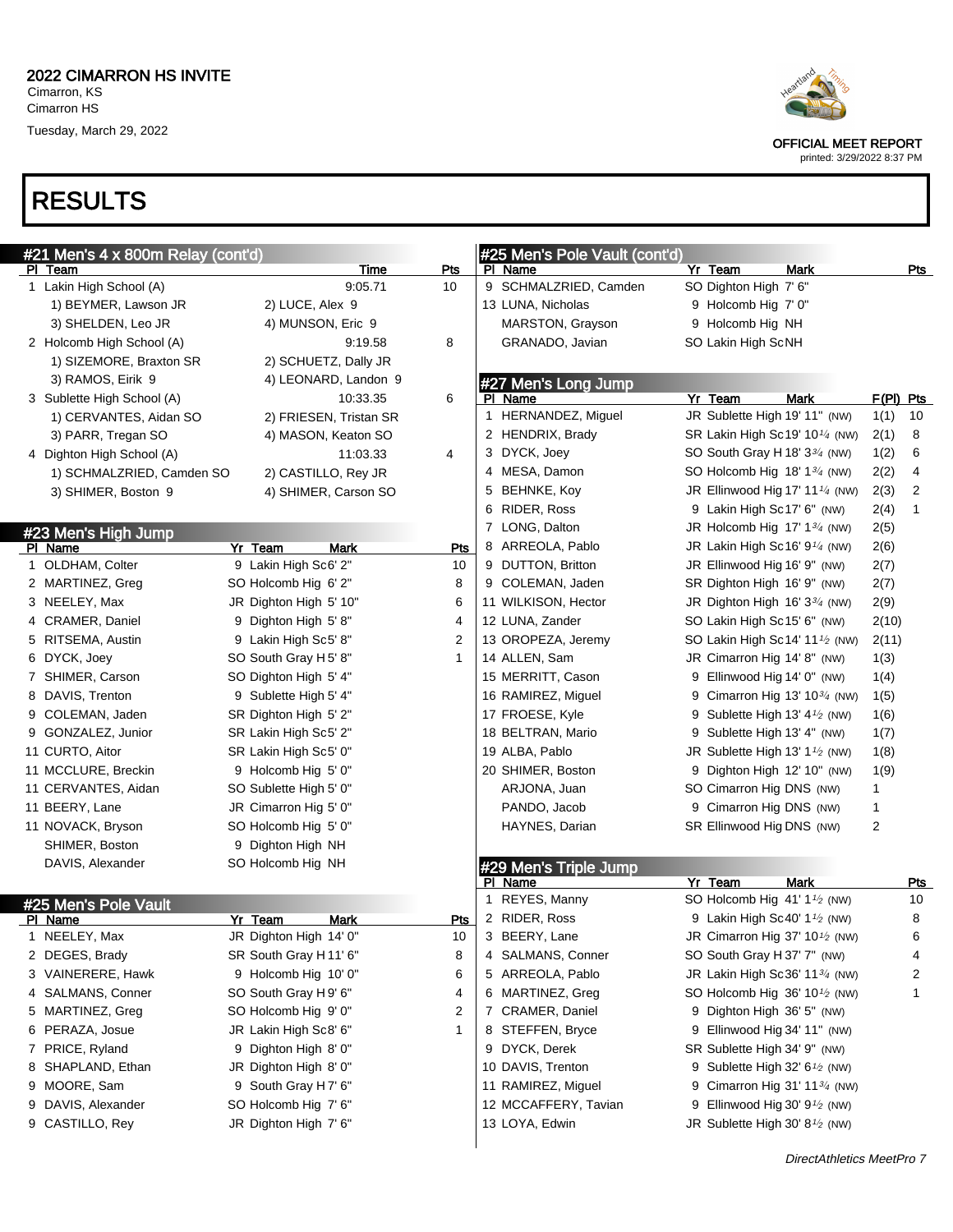## RESULTS

| Heartland |
|-----------|
|           |

OFFICIAL MEET REPORT

| #21 Men's 4 x 800m Relay (cont'd) |                            |                        |              | #25 Men's Pole Vault (cont'd) |                                                         |              |                |
|-----------------------------------|----------------------------|------------------------|--------------|-------------------------------|---------------------------------------------------------|--------------|----------------|
|                                   | PI Team                    | Time                   | Pts          | PI Name                       | Yr Team<br><b>Mark</b>                                  |              | Pts            |
|                                   | 1 Lakin High School (A)    | 9:05.71                | 10           | 9 SCHMALZRIED, Camden         | SO Dighton High 7' 6"                                   |              |                |
|                                   | 1) BEYMER, Lawson JR       | 2) LUCE, Alex 9        |              | 13 LUNA, Nicholas             | 9 Holcomb Hig 7' 0"                                     |              |                |
|                                   | 3) SHELDEN, Leo JR         | 4) MUNSON, Eric 9      |              | MARSTON, Grayson              | 9 Holcomb Hig NH                                        |              |                |
|                                   | 2 Holcomb High School (A)  | 9:19.58                | 8            | GRANADO, Javian               | SO Lakin High ScNH                                      |              |                |
|                                   | 1) SIZEMORE, Braxton SR    | 2) SCHUETZ, Dally JR   |              |                               |                                                         |              |                |
|                                   | 3) RAMOS, Eirik 9          | 4) LEONARD, Landon 9   |              | #27 Men's Long Jump           |                                                         |              |                |
|                                   | 3 Sublette High School (A) | 10:33.35               | 6            | PI Name                       | Yr Team<br><b>Mark</b>                                  | F(PI) Pts    |                |
|                                   | 1) CERVANTES, Aidan SO     | 2) FRIESEN, Tristan SR |              | 1 HERNANDEZ, Miguel           | JR Sublette High 19' 11" (NW)                           | 1(1)         | 10             |
|                                   | 3) PARR, Tregan SO         | 4) MASON, Keaton SO    |              | 2 HENDRIX, Brady              | SR Lakin High Sc19' 10 $\frac{1}{4}$ (NW)               | 2(1)         | 8              |
|                                   | 4 Dighton High School (A)  | 11:03.33               | 4            | 3 DYCK, Joey                  | SO South Gray H 18' $3\frac{3}{4}$ (NW)                 | 1(2)         | 6              |
|                                   | 1) SCHMALZRIED, Camden SO  | 2) CASTILLO, Rey JR    |              | 4 MESA, Damon                 | SO Holcomb Hig $18'$ $1\frac{3}{4}$ (NW)                | 2(2)         | 4              |
|                                   | 3) SHIMER, Boston 9        | 4) SHIMER, Carson SO   |              | 5 BEHNKE, Koy                 | JR Ellinwood Hig 17' 11 $\frac{1}{4}$ (NW)              | 2(3)         | $\overline{2}$ |
|                                   |                            |                        |              | 6 RIDER, Ross                 | 9 Lakin High Sc17' 6" (NW)                              | 2(4)         | $\mathbf{1}$   |
|                                   | #23 Men's High Jump        |                        |              | 7 LONG, Dalton                | JR Holcomb Hig $17'$ 1 $\frac{3}{4}$ (NW)               | 2(5)         |                |
|                                   | PI Name                    | Yr Team<br><b>Mark</b> | <b>Pts</b>   | 8 ARREOLA, Pablo              | JR Lakin High Sc16' $9\frac{1}{4}$ (NW)                 | 2(6)         |                |
|                                   | 1 OLDHAM, Colter           | 9 Lakin High Sc6' 2"   | 10           | 9 DUTTON, Britton             | JR Ellinwood Hig 16' 9" (NW)                            | 2(7)         |                |
|                                   | 2 MARTINEZ, Greg           | SO Holcomb Hig 6' 2"   | 8            | 9 COLEMAN, Jaden              | SR Dighton High 16' 9" (NW)                             | 2(7)         |                |
|                                   | 3 NEELEY, Max              | JR Dighton High 5' 10" | 6            | 11 WILKISON, Hector           | JR Dighton High $16'3^{3/4}$ (NW)                       | 2(9)         |                |
|                                   | 4 CRAMER, Daniel           | 9 Dighton High 5'8"    | 4            | 12 LUNA, Zander               | SO Lakin High Sc15' 6" (NW)                             | 2(10)        |                |
|                                   | 5 RITSEMA, Austin          | 9 Lakin High Sc5' 8"   | 2            | 13 OROPEZA, Jeremy            | SO Lakin High Sc14' 11 $\frac{1}{2}$ (NW)               | 2(11)        |                |
|                                   | 6 DYCK, Joey               | SO South Gray H 5' 8"  | 1            | 14 ALLEN, Sam                 | JR Cimarron Hig 14' 8" (NW)                             | 1(3)         |                |
|                                   | 7 SHIMER, Carson           | SO Dighton High 5' 4"  |              | 15 MERRITT, Cason             | 9 Ellinwood Hig 14' 0" (NW)                             | 1(4)         |                |
|                                   | 8 DAVIS, Trenton           | 9 Sublette High 5' 4"  |              | 16 RAMIREZ, Miguel            | 9 Cimarron Hig 13' 10 $\frac{3}{4}$ (NW)                | 1(5)         |                |
|                                   | 9 COLEMAN, Jaden           | SR Dighton High 5' 2"  |              | 17 FROESE, Kyle               | 9 Sublette High 13' 4 <sup>1</sup> / <sub>2</sub> (NW)  | 1(6)         |                |
|                                   | 9 GONZALEZ, Junior         | SR Lakin High Sc5' 2"  |              | 18 BELTRAN, Mario             | 9 Sublette High 13' 4" (NW)                             | 1(7)         |                |
|                                   | 11 CURTO, Aitor            | SR Lakin High Sc5' 0"  |              | 19 ALBA, Pablo                | JR Sublette High 13' 1 <sup>1</sup> / <sub>2</sub> (NW) | 1(8)         |                |
|                                   | 11 MCCLURE, Breckin        | 9 Holcomb Hig 5' 0"    |              | 20 SHIMER, Boston             | 9 Dighton High 12' 10" (NW)                             | 1(9)         |                |
|                                   | 11 CERVANTES, Aidan        | SO Sublette High 5' 0" |              | ARJONA, Juan                  | SO Cimarron Hig DNS (NW)                                | $\mathbf{1}$ |                |
|                                   | 11 BEERY, Lane             | JR Cimarron Hig 5' 0"  |              | PANDO, Jacob                  | 9 Cimarron Hig DNS (NW)                                 | 1            |                |
|                                   | 11 NOVACK, Bryson          | SO Holcomb Hig 5' 0"   |              | HAYNES, Darian                | SR Ellinwood Hig DNS (NW)                               | 2            |                |
|                                   | SHIMER, Boston             | 9 Dighton High NH      |              |                               |                                                         |              |                |
|                                   | DAVIS, Alexander           | SO Holcomb Hig NH      |              | #29 Men's Triple Jump         |                                                         |              |                |
|                                   |                            |                        |              | PI Name                       | <b>Mark</b><br>Yr Team                                  |              | Pts            |
|                                   | #25 Men's Pole Vault       |                        |              | 1 REYES, Manny                | SO Holcomb Hig 41' 1 <sup>1</sup> / <sub>2</sub> (NW)   |              | 10             |
|                                   | PI Name                    | Yr Team<br>Mark        | Pts          | 2 RIDER, Ross                 | 9 Lakin High Sc40' 1 <sup>1</sup> / <sub>2</sub> (NW)   |              | 8              |
|                                   | 1 NEELEY, Max              | JR Dighton High 14' 0" | 10           | 3 BEERY, Lane                 | JR Cimarron Hig 37' 10 <sup>1</sup> / <sub>2</sub> (NW) |              | 6              |
|                                   | 2 DEGES, Brady             | SR South Gray H11' 6"  | 8            | 4 SALMANS, Conner             | SO South Gray H 37' 7" (NW)                             |              | 4              |
|                                   | 3 VAINERERE, Hawk          | 9 Holcomb Hig 10' 0"   | 6            | 5 ARREOLA, Pablo              | JR Lakin High Sc36' 1134 (NW)                           |              | 2              |
|                                   | 4 SALMANS, Conner          | SO South Gray H 9' 6"  | 4            | 6 MARTINEZ, Greg              | SO Holcomb Hig 36' 10 <sup>1/2</sup> (NW)               |              | $\mathbf{1}$   |
|                                   | 5 MARTINEZ, Greg           | SO Holcomb Hig 9' 0"   | 2            | 7 CRAMER, Daniel              | 9 Dighton High 36' 5" (NW)                              |              |                |
|                                   | 6 PERAZA, Josue            | JR Lakin High Sc8' 6"  | $\mathbf{1}$ | 8 STEFFEN, Bryce              | 9 Ellinwood Hig 34' 11" (NW)                            |              |                |
|                                   | 7 PRICE, Ryland            | 9 Dighton High 8' 0"   |              | 9 DYCK, Derek                 | SR Sublette High 34' 9" (NW)                            |              |                |
|                                   | 8 SHAPLAND, Ethan          | JR Dighton High 8' 0"  |              | 10 DAVIS, Trenton             | 9 Sublette High 32' 6 <sup>1</sup> / <sub>2</sub> (NW)  |              |                |
| 9                                 | MOORE, Sam                 | 9 South Gray H7' 6"    |              | 11 RAMIREZ, Miguel            | 9 Cimarron Hig 31' 11 <sup>3/4</sup> (NW)               |              |                |
| 9                                 | DAVIS, Alexander           | SO Holcomb Hig 7' 6"   |              | 12 MCCAFFERY, Tavian          | 9 Ellinwood Hig 30' $9\frac{1}{2}$ (NW)                 |              |                |
|                                   | 9 CASTILLO, Rey            | JR Dighton High 7' 6"  |              | 13 LOYA, Edwin                | JR Sublette High 30' $8\frac{1}{2}$ (NW)                |              |                |
|                                   |                            |                        |              |                               |                                                         |              |                |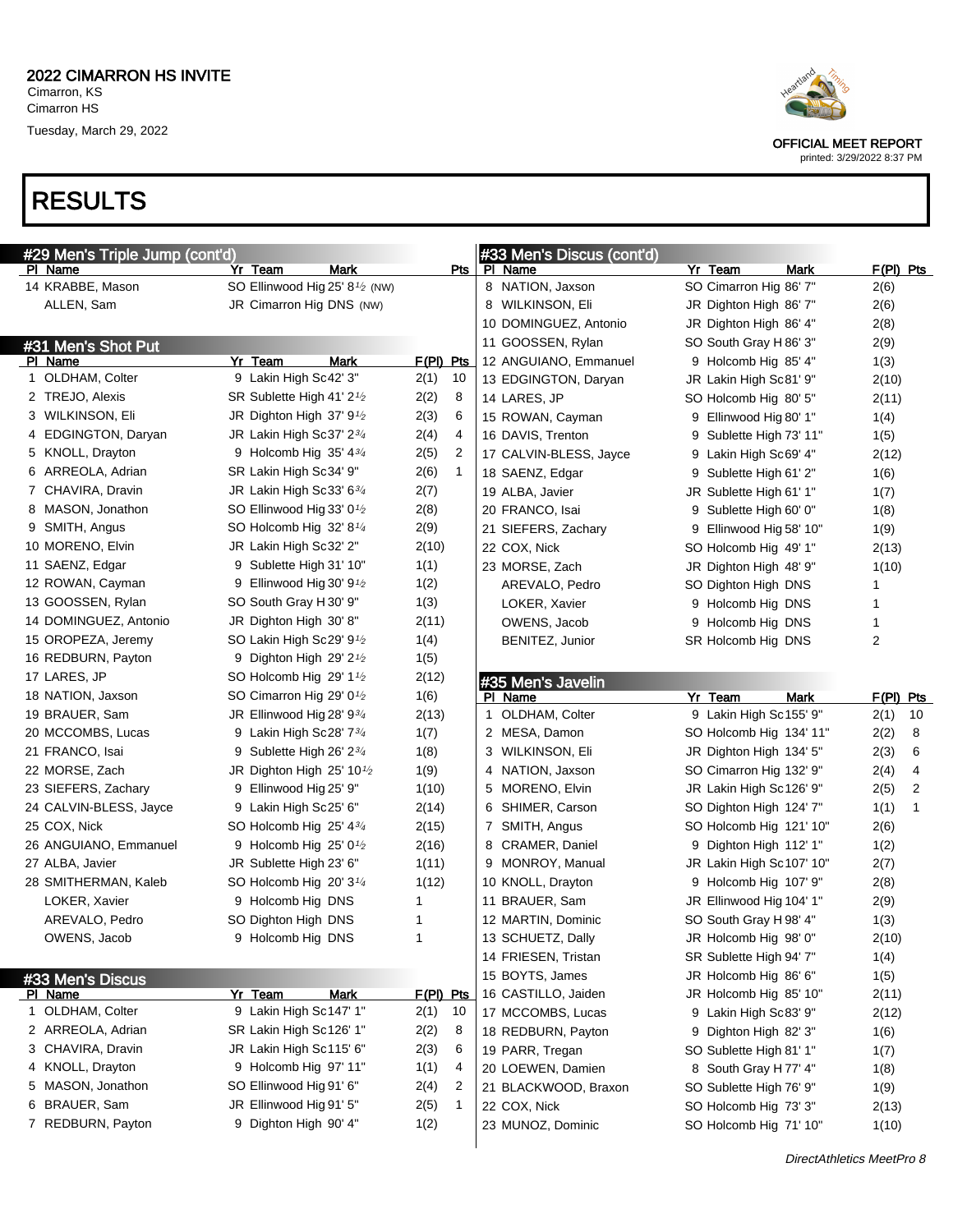



| #29 Men's Triple Jump (cont'd) |                                                         |                        | #33 Men's Discus (cont'd) |                          |             |
|--------------------------------|---------------------------------------------------------|------------------------|---------------------------|--------------------------|-------------|
| <b>PI Name</b>                 | Yr Team<br>Mark                                         | Pts                    | PI Name                   | Yr Team<br>Mark          | $F(PI)$ Pts |
| 14 KRABBE, Mason               | SO Ellinwood Hig 25' 8 <sup>1</sup> / <sub>2</sub> (NW) |                        | 8 NATION, Jaxson          | SO Cimarron Hig 86' 7"   | 2(6)        |
| ALLEN, Sam                     | JR Cimarron Hig DNS (NW)                                |                        | 8 WILKINSON, Eli          | JR Dighton High 86' 7"   | 2(6)        |
|                                |                                                         |                        | 10 DOMINGUEZ, Antonio     | JR Dighton High 86' 4"   | 2(8)        |
| #31 Men's Shot Put             |                                                         |                        | 11 GOOSSEN, Rylan         | SO South Gray H 86' 3"   | 2(9)        |
| PI Name                        | Yr Team<br>Mark                                         | F(PI) Pts              | 12 ANGUIANO, Emmanuel     | 9 Holcomb Hig 85' 4"     | 1(3)        |
| 1 OLDHAM, Colter               | 9 Lakin High Sc42' 3"                                   | 2(1)<br>10             | 13 EDGINGTON, Daryan      | JR Lakin High Sc81' 9"   | 2(10)       |
| 2 TREJO, Alexis                | SR Sublette High 41' 2 <sup>1</sup> /2                  | 2(2)<br>8              | 14 LARES, JP              | SO Holcomb Hig 80' 5"    | 2(11)       |
| 3 WILKINSON, Eli               | JR Dighton High 37' $9\frac{1}{2}$                      | 2(3)<br>6              | 15 ROWAN, Cayman          | 9 Ellinwood Hig 80' 1"   | 1(4)        |
| 4 EDGINGTON, Daryan            | JR Lakin High Sc37' 23/4                                | 2(4)<br>4              | 16 DAVIS, Trenton         | 9 Sublette High 73' 11"  | 1(5)        |
| 5 KNOLL, Drayton               | 9 Holcomb Hig $35'$ 4 $3/4$                             | 2(5)<br>2              | 17 CALVIN-BLESS, Jayce    | 9 Lakin High Sc69' 4"    | 2(12)       |
| 6 ARREOLA, Adrian              | SR Lakin High Sc34' 9"                                  | 2(6)<br>$\mathbf{1}$   | 18 SAENZ, Edgar           | 9 Sublette High 61' 2"   | 1(6)        |
| 7 CHAVIRA, Dravin              | JR Lakin High Sc33' 634                                 | 2(7)                   | 19 ALBA, Javier           | JR Sublette High 61' 1"  | 1(7)        |
| 8 MASON, Jonathon              | SO Ellinwood Hig 33' 0 <sup>1/2</sup>                   | 2(8)                   | 20 FRANCO, Isai           | 9 Sublette High 60' 0"   | 1(8)        |
| 9 SMITH, Angus                 | SO Holcomb Hig 32' 8 <sup>1/4</sup>                     | 2(9)                   | 21 SIEFERS, Zachary       | 9 Ellinwood Hig 58' 10"  | 1(9)        |
| 10 MORENO, Elvin               | JR Lakin High Sc32' 2"                                  | 2(10)                  | 22 COX, Nick              | SO Holcomb Hig 49' 1"    | 2(13)       |
| 11 SAENZ, Edgar                | 9 Sublette High 31' 10"                                 | 1(1)                   | 23 MORSE, Zach            | JR Dighton High 48' 9"   | 1(10)       |
| 12 ROWAN, Cayman               | 9 Ellinwood Hig 30' 9 $\frac{1}{2}$                     | 1(2)                   | AREVALO, Pedro            | SO Dighton High DNS      | 1           |
| 13 GOOSSEN, Rylan              | SO South Gray H 30' 9"                                  | 1(3)                   | LOKER, Xavier             | 9 Holcomb Hig DNS        | 1           |
| 14 DOMINGUEZ, Antonio          | JR Dighton High 30' 8"                                  | 2(11)                  | OWENS, Jacob              | 9 Holcomb Hig DNS        | 1           |
| 15 OROPEZA, Jeremy             | SO Lakin High Sc29' $9\frac{1}{2}$                      | 1(4)                   | BENITEZ, Junior           | SR Holcomb Hig DNS       | 2           |
| 16 REDBURN, Payton             | 9 Dighton High 29' $2\frac{1}{2}$                       | 1(5)                   |                           |                          |             |
| 17 LARES, JP                   | SO Holcomb Hig 29' $1\frac{1}{2}$                       | 2(12)                  | #35 Men's Javelin         |                          |             |
| 18 NATION, Jaxson              | SO Cimarron Hig 29' 0 <sup>1</sup> /2                   | 1(6)                   | PI Name                   | Yr Team<br>Mark          | $F(PI)$ Pts |
| 19 BRAUER, Sam                 | JR Ellinwood Hig 28' 934                                | 2(13)                  | 1 OLDHAM, Colter          | 9 Lakin High Sc155' 9"   | 10<br>2(1)  |
| 20 MCCOMBS, Lucas              | 9 Lakin High Sc28' $7\frac{3}{4}$                       | 1(7)                   | 2 MESA, Damon             | SO Holcomb Hig 134' 11"  | 2(2)<br>8   |
| 21 FRANCO, Isai                | 9 Sublette High 26' 23/4                                | 1(8)                   | 3 WILKINSON, Eli          | JR Dighton High 134' 5"  | 2(3)<br>6   |
| 22 MORSE, Zach                 | JR Dighton High 25' 10 <sup>1</sup> /2                  | 1(9)                   | 4 NATION, Jaxson          | SO Cimarron Hig 132' 9"  | 4<br>2(4)   |
| 23 SIEFERS, Zachary            | 9 Ellinwood Hig 25' 9"                                  | 1(10)                  | 5 MORENO, Elvin           | JR Lakin High Sc126' 9"  | 2<br>2(5)   |
| 24 CALVIN-BLESS, Jayce         | 9 Lakin High Sc25' 6"                                   | 2(14)                  | 6 SHIMER, Carson          | SO Dighton High 124' 7"  | 1(1)<br>1   |
| 25 COX, Nick                   | SO Holcomb Hig 25' 43/4                                 | 2(15)                  | 7 SMITH, Angus            | SO Holcomb Hig 121' 10"  | 2(6)        |
| 26 ANGUIANO, Emmanuel          | 9 Holcomb Hig $25'0\%$                                  | 2(16)                  | 8 CRAMER, Daniel          | 9 Dighton High 112' 1"   | 1(2)        |
| 27 ALBA, Javier                | JR Sublette High 23' 6"                                 | 1(11)                  | 9 MONROY, Manual          | JR Lakin High Sc107' 10" | 2(7)        |
| 28 SMITHERMAN, Kaleb           | SO Holcomb Hig $20'3\frac{1}{4}$                        | 1(12)                  | 10 KNOLL, Drayton         | 9 Holcomb Hig 107' 9"    | 2(8)        |
| LOKER, Xavier                  | 9 Holcomb Hig DNS                                       |                        | 11 BRAUER, Sam            | JR Ellinwood Hig 104' 1" | 2(9)        |
| AREVALO, Pedro                 | SO Dighton High DNS                                     | 1                      | 12 MARTIN, Dominic        | SO South Gray H 98' 4"   | 1(3)        |
| OWENS, Jacob                   | 9 Holcomb Hig DNS                                       | 1                      | 13 SCHUETZ, Dally         | JR Holcomb Hig 98' 0"    | 2(10)       |
|                                |                                                         |                        | 14 FRIESEN, Tristan       | SR Sublette High 94' 7"  | 1(4)        |
| #33 Men's Discus               |                                                         |                        | 15 BOYTS, James           | JR Holcomb Hig 86' 6"    | 1(5)        |
| PI Name                        | <u>Yr Team</u><br>Mark                                  | F(PI) Pts              | 16 CASTILLO, Jaiden       | JR Holcomb Hig 85' 10"   | 2(11)       |
| 1 OLDHAM, Colter               | 9 Lakin High Sc147' 1"                                  | 2(1)<br>10             | 17 MCCOMBS, Lucas         | 9 Lakin High Sc83' 9"    | 2(12)       |
| 2 ARREOLA, Adrian              | SR Lakin High Sc126' 1"                                 | 2(2)<br>8              | 18 REDBURN, Payton        | 9 Dighton High 82' 3"    | 1(6)        |
| 3 CHAVIRA, Dravin              | JR Lakin High Sc115' 6"                                 | 2(3)<br>6              | 19 PARR, Tregan           | SO Sublette High 81' 1"  | 1(7)        |
| 4 KNOLL, Drayton               | 9 Holcomb Hig 97' 11"                                   | 1(1)<br>4              | 20 LOEWEN, Damien         | 8 South Gray H 77' 4"    | 1(8)        |
| 5 MASON, Jonathon              | SO Ellinwood Hig 91' 6"                                 | $\overline{2}$<br>2(4) | 21 BLACKWOOD, Braxon      | SO Sublette High 76' 9"  | 1(9)        |
| 6 BRAUER, Sam                  | JR Ellinwood Hig 91' 5"                                 | 2(5)<br>$\mathbf 1$    | 22 COX, Nick              | SO Holcomb Hig 73' 3"    | 2(13)       |
| 7 REDBURN, Payton              | 9 Dighton High 90' 4"                                   | 1(2)                   | 23 MUNOZ, Dominic         | SO Holcomb Hig 71' 10"   | 1(10)       |
|                                |                                                         |                        |                           |                          |             |